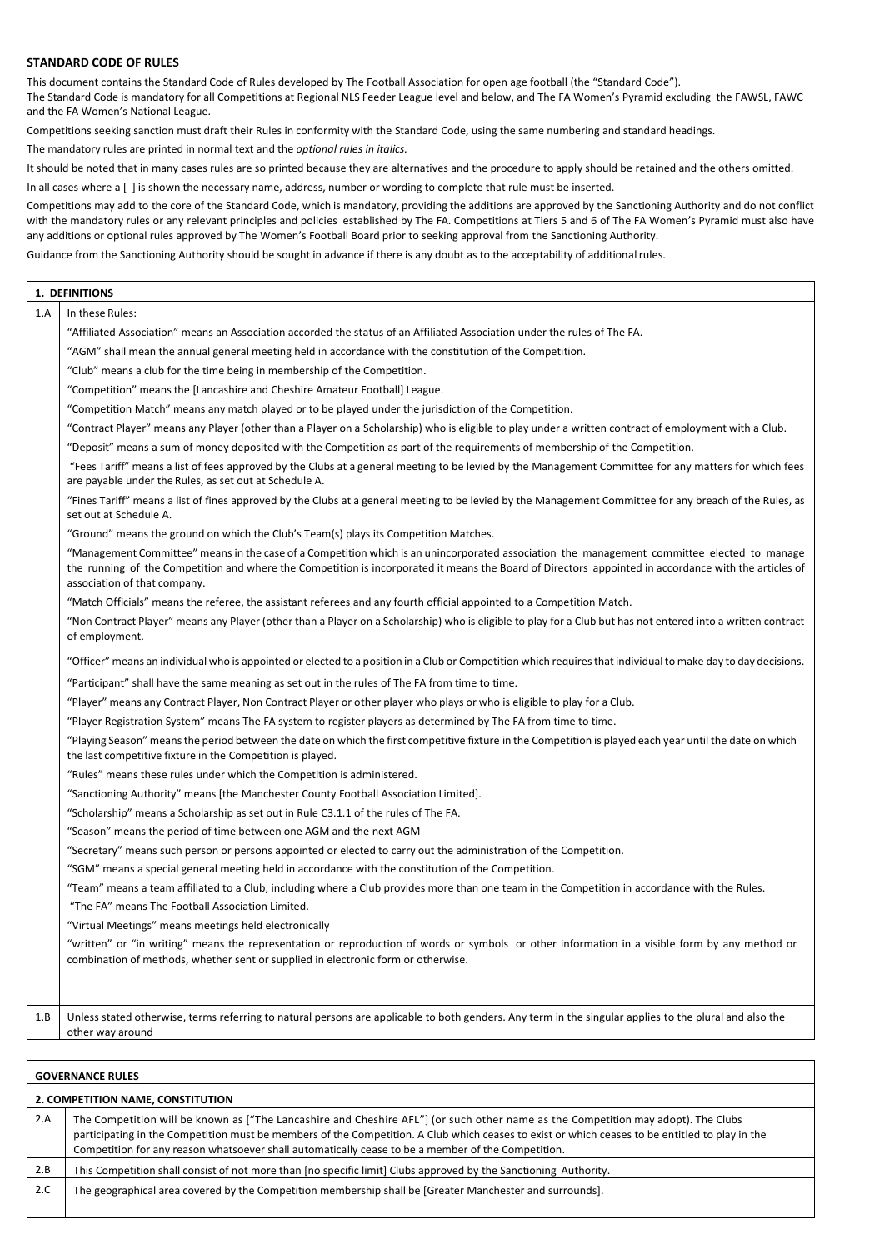#### **STANDARD CODE OF RULES**

This document contains the Standard Code of Rules developed by The Football Association for open age football (the "Standard Code"). The Standard Code is mandatory for all Competitions at Regional NLS Feeder League level and below, and The FA Women's Pyramid excluding the FAWSL, FAWC and the FA Women's National League.

Competitions seeking sanction must draft their Rules in conformity with the Standard Code, using the same numbering and standard headings.

The mandatory rules are printed in normal text and the *optional rules in italics.*

It should be noted that in many cases rules are so printed because they are alternatives and the procedure to apply should be retained and the others omitted.

In all cases where a [ ] is shown the necessary name, address, number or wording to complete that rule must be inserted.

Competitions may add to the core of the Standard Code, which is mandatory, providing the additions are approved by the Sanctioning Authority and do not conflict with the mandatory rules or any relevant principles and policies established by The FA. Competitions at Tiers 5 and 6 of The FA Women's Pyramid must also have any additions or optional rules approved by The Women's Football Board prior to seeking approval from the Sanctioning Authority.

Guidance from the Sanctioning Authority should be sought in advance if there is any doubt as to the acceptability of additionalrules.

# **1. DEFINITIONS** 1.A In these Rules: "Affiliated Association" means an Association accorded the status of an Affiliated Association under the rules of The FA. "AGM" shall mean the annual general meeting held in accordance with the constitution of the Competition. "Club" means a club for the time being in membership of the Competition. "Competition" means the [Lancashire and Cheshire Amateur Football] League. "Competition Match" means any match played or to be played under the jurisdiction of the Competition. "Contract Player" means any Player (other than a Player on a Scholarship) who is eligible to play under a written contract of employment with a Club. "Deposit" means a sum of money deposited with the Competition as part of the requirements of membership of the Competition. "Fees Tariff" means a list of fees approved by the Clubs at a general meeting to be levied by the Management Committee for any matters for which fees are payable under the Rules, as set out at Schedule A. "Fines Tariff" means a list of fines approved by the Clubs at a general meeting to be levied by the Management Committee for any breach of the Rules, as set out at Schedule A. "Ground" means the ground on which the Club's Team(s) plays its Competition Matches. "Management Committee" means in the case of a Competition which is an unincorporated association the management committee elected to manage the running of the Competition and where the Competition is incorporated it means the Board of Directors appointed in accordance with the articles of association of that company. "Match Officials" means the referee, the assistant referees and any fourth official appointed to a Competition Match. "Non Contract Player" means any Player (other than a Player on a Scholarship) who is eligible to play for a Club but has not entered into a written contract of employment. "Officer" means an individual who is appointed or elected to a position in a Club or Competition which requires that individual to make day to day decisions. "Participant" shall have the same meaning as set out in the rules of The FA from time to time. "Player" means any Contract Player, Non Contract Player or other player who plays or who is eligible to play for a Club. "Player Registration System" means The FA system to register players as determined by The FA from time to time. "Playing Season" meansthe period between the date on which the first competitive fixture in the Competition is played each year until the date on which the last competitive fixture in the Competition is played. "Rules" means these rules under which the Competition is administered. "Sanctioning Authority" means [the Manchester County Football Association Limited]. "Scholarship" means a Scholarship as set out in Rule C3.1.1 of the rules of The FA. "Season" means the period of time between one AGM and the next AGM "Secretary" means such person or persons appointed or elected to carry out the administration of the Competition. "SGM" means a special general meeting held in accordance with the constitution of the Competition. "Team" means a team affiliated to a Club, including where a Club provides more than one team in the Competition in accordance with the Rules. "The FA" means The Football Association Limited. "Virtual Meetings" means meetings held electronically "written" or "in writing" means the representation or reproduction of words or symbols or other information in a visible form by any method or combination of methods, whether sent or supplied in electronic form or otherwise. 1.B Unless stated otherwise, terms referring to natural persons are applicable to both genders. Any term in the singular applies to the plural and also the other way around

|                                   | <b>GOVERNANCE RULES</b>                                                                                                                                                                                                                                                                                                                                                                    |  |
|-----------------------------------|--------------------------------------------------------------------------------------------------------------------------------------------------------------------------------------------------------------------------------------------------------------------------------------------------------------------------------------------------------------------------------------------|--|
| 2. COMPETITION NAME, CONSTITUTION |                                                                                                                                                                                                                                                                                                                                                                                            |  |
| 2.A                               | The Competition will be known as ["The Lancashire and Cheshire AFL"] (or such other name as the Competition may adopt). The Clubs<br>participating in the Competition must be members of the Competition. A Club which ceases to exist or which ceases to be entitled to play in the<br>Competition for any reason whatsoever shall automatically cease to be a member of the Competition. |  |
| 2.B                               | This Competition shall consist of not more than [no specific limit] Clubs approved by the Sanctioning Authority.                                                                                                                                                                                                                                                                           |  |
| 2.C                               | The geographical area covered by the Competition membership shall be [Greater Manchester and surrounds].                                                                                                                                                                                                                                                                                   |  |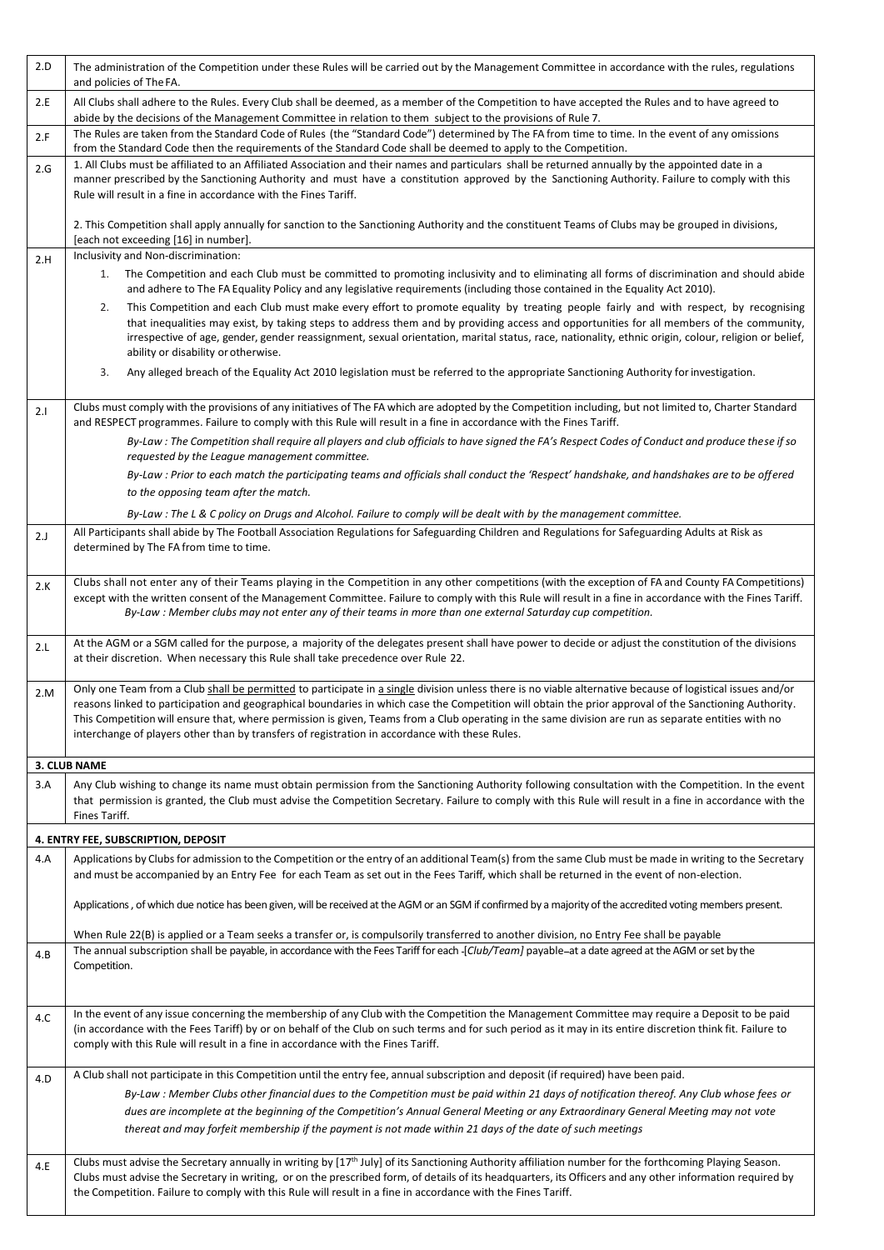| 2.D | The administration of the Competition under these Rules will be carried out by the Management Committee in accordance with the rules, regulations<br>and policies of The FA.                                                                                                                                                                                                                                                                                                                                                                                                  |
|-----|-------------------------------------------------------------------------------------------------------------------------------------------------------------------------------------------------------------------------------------------------------------------------------------------------------------------------------------------------------------------------------------------------------------------------------------------------------------------------------------------------------------------------------------------------------------------------------|
| 2.E | All Clubs shall adhere to the Rules. Every Club shall be deemed, as a member of the Competition to have accepted the Rules and to have agreed to<br>abide by the decisions of the Management Committee in relation to them subject to the provisions of Rule 7.                                                                                                                                                                                                                                                                                                               |
| 2.F | The Rules are taken from the Standard Code of Rules (the "Standard Code") determined by The FA from time to time. In the event of any omissions<br>from the Standard Code then the requirements of the Standard Code shall be deemed to apply to the Competition.                                                                                                                                                                                                                                                                                                             |
| 2.G | 1. All Clubs must be affiliated to an Affiliated Association and their names and particulars shall be returned annually by the appointed date in a<br>manner prescribed by the Sanctioning Authority and must have a constitution approved by the Sanctioning Authority. Failure to comply with this<br>Rule will result in a fine in accordance with the Fines Tariff.                                                                                                                                                                                                       |
|     | 2. This Competition shall apply annually for sanction to the Sanctioning Authority and the constituent Teams of Clubs may be grouped in divisions,<br>[each not exceeding [16] in number].                                                                                                                                                                                                                                                                                                                                                                                    |
| 2.H | Inclusivity and Non-discrimination:<br>The Competition and each Club must be committed to promoting inclusivity and to eliminating all forms of discrimination and should abide<br>1.<br>and adhere to The FA Equality Policy and any legislative requirements (including those contained in the Equality Act 2010).                                                                                                                                                                                                                                                          |
|     | 2.<br>This Competition and each Club must make every effort to promote equality by treating people fairly and with respect, by recognising<br>that inequalities may exist, by taking steps to address them and by providing access and opportunities for all members of the community,<br>irrespective of age, gender, gender reassignment, sexual orientation, marital status, race, nationality, ethnic origin, colour, religion or belief,<br>ability or disability or otherwise.                                                                                          |
|     | Any alleged breach of the Equality Act 2010 legislation must be referred to the appropriate Sanctioning Authority for investigation.<br>3.                                                                                                                                                                                                                                                                                                                                                                                                                                    |
| 2.1 | Clubs must comply with the provisions of any initiatives of The FA which are adopted by the Competition including, but not limited to, Charter Standard<br>and RESPECT programmes. Failure to comply with this Rule will result in a fine in accordance with the Fines Tariff.                                                                                                                                                                                                                                                                                                |
|     | By-Law: The Competition shall require all players and club officials to have signed the FA's Respect Codes of Conduct and produce these if so<br>requested by the League management committee.                                                                                                                                                                                                                                                                                                                                                                                |
|     | By-Law : Prior to each match the participating teams and officials shall conduct the 'Respect' handshake, and handshakes are to be offered<br>to the opposing team after the match.                                                                                                                                                                                                                                                                                                                                                                                           |
|     | By-Law: The L & C policy on Drugs and Alcohol. Failure to comply will be dealt with by the management committee.                                                                                                                                                                                                                                                                                                                                                                                                                                                              |
| 2.J | All Participants shall abide by The Football Association Regulations for Safeguarding Children and Regulations for Safeguarding Adults at Risk as<br>determined by The FA from time to time.                                                                                                                                                                                                                                                                                                                                                                                  |
| 2.K | Clubs shall not enter any of their Teams playing in the Competition in any other competitions (with the exception of FA and County FA Competitions)<br>except with the written consent of the Management Committee. Failure to comply with this Rule will result in a fine in accordance with the Fines Tariff.<br>By-Law : Member clubs may not enter any of their teams in more than one external Saturday cup competition.                                                                                                                                                 |
| 2.L | At the AGM or a SGM called for the purpose, a majority of the delegates present shall have power to decide or adjust the constitution of the divisions<br>at their discretion. When necessary this Rule shall take precedence over Rule 22.                                                                                                                                                                                                                                                                                                                                   |
| 2.M | Only one Team from a Club shall be permitted to participate in a single division unless there is no viable alternative because of logistical issues and/or<br>reasons linked to participation and geographical boundaries in which case the Competition will obtain the prior approval of the Sanctioning Authority.<br>This Competition will ensure that, where permission is given, Teams from a Club operating in the same division are run as separate entities with no<br>interchange of players other than by transfers of registration in accordance with these Rules. |
|     | 3. CLUB NAME                                                                                                                                                                                                                                                                                                                                                                                                                                                                                                                                                                  |
| 3.A | Any Club wishing to change its name must obtain permission from the Sanctioning Authority following consultation with the Competition. In the event<br>that permission is granted, the Club must advise the Competition Secretary. Failure to comply with this Rule will result in a fine in accordance with the<br>Fines Tariff.                                                                                                                                                                                                                                             |
|     | 4. ENTRY FEE, SUBSCRIPTION, DEPOSIT                                                                                                                                                                                                                                                                                                                                                                                                                                                                                                                                           |
| 4.A | Applications by Clubs for admission to the Competition or the entry of an additional Team(s) from the same Club must be made in writing to the Secretary<br>and must be accompanied by an Entry Fee for each Team as set out in the Fees Tariff, which shall be returned in the event of non-election.                                                                                                                                                                                                                                                                        |
|     | Applications, of which due notice has been given, will be received at the AGM or an SGM if confirmed by a majority of the accredited voting members present.                                                                                                                                                                                                                                                                                                                                                                                                                  |
| 4.B | When Rule 22(B) is applied or a Team seeks a transfer or, is compulsorily transferred to another division, no Entry Fee shall be payable<br>The annual subscription shall be payable, in accordance with the Fees Tariff for each -[Club/Team] payable-at a date agreed at the AGM or set by the<br>Competition.                                                                                                                                                                                                                                                              |
|     | In the event of any issue concerning the membership of any Club with the Competition the Management Committee may require a Deposit to be paid                                                                                                                                                                                                                                                                                                                                                                                                                                |
| 4.C | (in accordance with the Fees Tariff) by or on behalf of the Club on such terms and for such period as it may in its entire discretion think fit. Failure to<br>comply with this Rule will result in a fine in accordance with the Fines Tariff.                                                                                                                                                                                                                                                                                                                               |
| 4.D | A Club shall not participate in this Competition until the entry fee, annual subscription and deposit (if required) have been paid.                                                                                                                                                                                                                                                                                                                                                                                                                                           |
|     | By-Law : Member Clubs other financial dues to the Competition must be paid within 21 days of notification thereof. Any Club whose fees or<br>dues are incomplete at the beginning of the Competition's Annual General Meeting or any Extraordinary General Meeting may not vote<br>thereat and may forfeit membership if the payment is not made within 21 days of the date of such meetings                                                                                                                                                                                  |
|     |                                                                                                                                                                                                                                                                                                                                                                                                                                                                                                                                                                               |
| 4.E | Clubs must advise the Secretary annually in writing by [17 <sup>th</sup> July] of its Sanctioning Authority affiliation number for the forthcoming Playing Season.<br>Clubs must advise the Secretary in writing, or on the prescribed form, of details of its headquarters, its Officers and any other information required by<br>the Competition. Failure to comply with this Rule will result in a fine in accordance with the Fines Tariff.                                                                                                                               |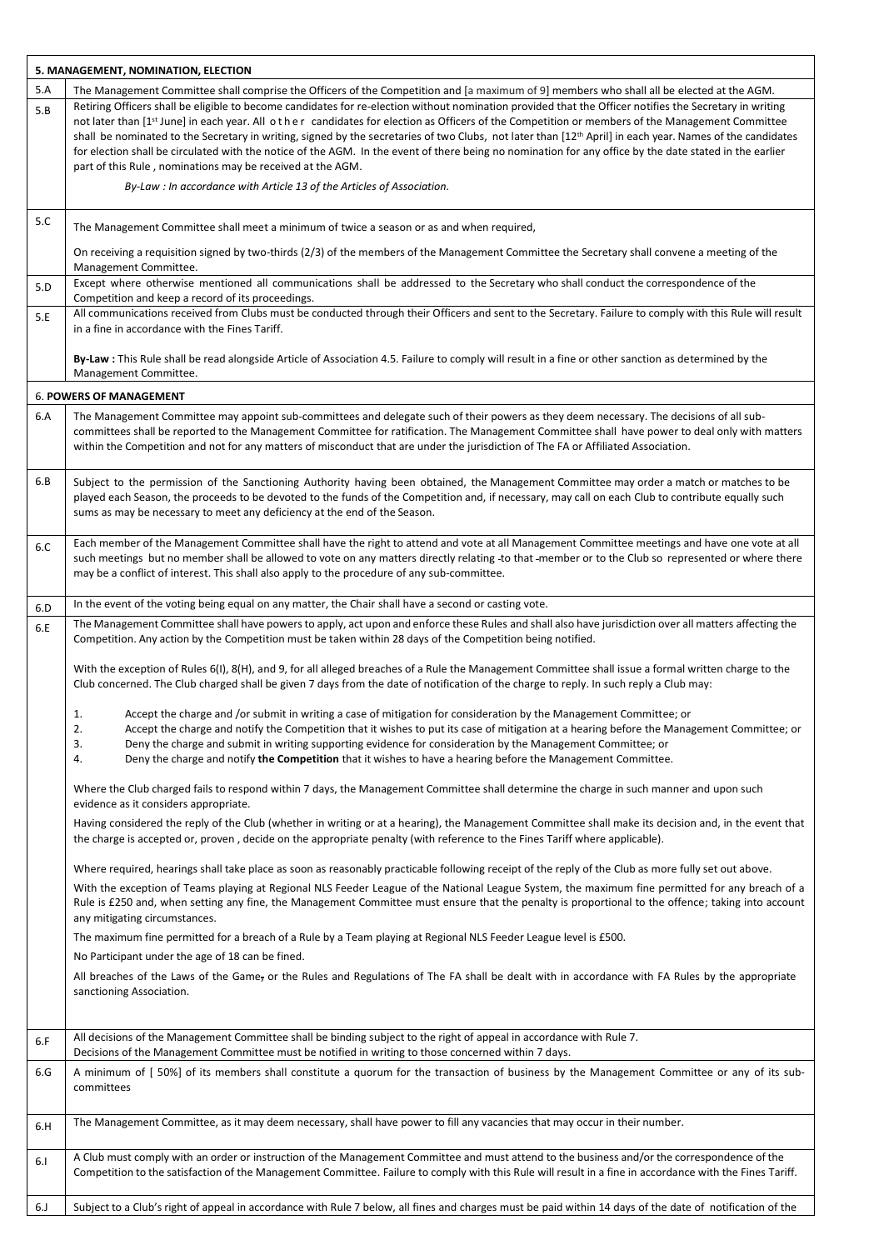|     | 5. MANAGEMENT, NOMINATION, ELECTION                                                                                                                                                                                                                                                                                                                                                                                                                                                                                                                                                                                                                                                                                                                                                                |  |  |
|-----|----------------------------------------------------------------------------------------------------------------------------------------------------------------------------------------------------------------------------------------------------------------------------------------------------------------------------------------------------------------------------------------------------------------------------------------------------------------------------------------------------------------------------------------------------------------------------------------------------------------------------------------------------------------------------------------------------------------------------------------------------------------------------------------------------|--|--|
| 5.A | The Management Committee shall comprise the Officers of the Competition and [a maximum of 9] members who shall all be elected at the AGM.                                                                                                                                                                                                                                                                                                                                                                                                                                                                                                                                                                                                                                                          |  |  |
| 5.B | Retiring Officers shall be eligible to become candidates for re-election without nomination provided that the Officer notifies the Secretary in writing<br>not later than [1 <sup>st</sup> June] in each year. All other candidates for election as Officers of the Competition or members of the Management Committee<br>shall be nominated to the Secretary in writing, signed by the secretaries of two Clubs, not later than [12 <sup>th</sup> April] in each year. Names of the candidates<br>for election shall be circulated with the notice of the AGM. In the event of there being no nomination for any office by the date stated in the earlier<br>part of this Rule, nominations may be received at the AGM.<br>By-Law : In accordance with Article 13 of the Articles of Association. |  |  |
|     |                                                                                                                                                                                                                                                                                                                                                                                                                                                                                                                                                                                                                                                                                                                                                                                                    |  |  |
| 5.C | The Management Committee shall meet a minimum of twice a season or as and when required,                                                                                                                                                                                                                                                                                                                                                                                                                                                                                                                                                                                                                                                                                                           |  |  |
|     | On receiving a requisition signed by two-thirds (2/3) of the members of the Management Committee the Secretary shall convene a meeting of the<br>Management Committee.                                                                                                                                                                                                                                                                                                                                                                                                                                                                                                                                                                                                                             |  |  |
| 5.D | Except where otherwise mentioned all communications shall be addressed to the Secretary who shall conduct the correspondence of the<br>Competition and keep a record of its proceedings.                                                                                                                                                                                                                                                                                                                                                                                                                                                                                                                                                                                                           |  |  |
| 5.E | All communications received from Clubs must be conducted through their Officers and sent to the Secretary. Failure to comply with this Rule will result<br>in a fine in accordance with the Fines Tariff.                                                                                                                                                                                                                                                                                                                                                                                                                                                                                                                                                                                          |  |  |
|     | By-Law : This Rule shall be read alongside Article of Association 4.5. Failure to comply will result in a fine or other sanction as determined by the<br>Management Committee.                                                                                                                                                                                                                                                                                                                                                                                                                                                                                                                                                                                                                     |  |  |
|     | <b>6. POWERS OF MANAGEMENT</b>                                                                                                                                                                                                                                                                                                                                                                                                                                                                                                                                                                                                                                                                                                                                                                     |  |  |
| 6.A | The Management Committee may appoint sub-committees and delegate such of their powers as they deem necessary. The decisions of all sub-<br>committees shall be reported to the Management Committee for ratification. The Management Committee shall have power to deal only with matters<br>within the Competition and not for any matters of misconduct that are under the jurisdiction of The FA or Affiliated Association.                                                                                                                                                                                                                                                                                                                                                                     |  |  |
| 6.B | Subject to the permission of the Sanctioning Authority having been obtained, the Management Committee may order a match or matches to be<br>played each Season, the proceeds to be devoted to the funds of the Competition and, if necessary, may call on each Club to contribute equally such<br>sums as may be necessary to meet any deficiency at the end of the Season.                                                                                                                                                                                                                                                                                                                                                                                                                        |  |  |
| 6.C | Each member of the Management Committee shall have the right to attend and vote at all Management Committee meetings and have one vote at all<br>such meetings but no member shall be allowed to vote on any matters directly relating to that -member or to the Club so represented or where there<br>may be a conflict of interest. This shall also apply to the procedure of any sub-committee.                                                                                                                                                                                                                                                                                                                                                                                                 |  |  |
| 6.D | In the event of the voting being equal on any matter, the Chair shall have a second or casting vote.                                                                                                                                                                                                                                                                                                                                                                                                                                                                                                                                                                                                                                                                                               |  |  |
| 6.E | The Management Committee shall have powers to apply, act upon and enforce these Rules and shall also have jurisdiction over all matters affecting the<br>Competition. Any action by the Competition must be taken within 28 days of the Competition being notified.                                                                                                                                                                                                                                                                                                                                                                                                                                                                                                                                |  |  |
|     | With the exception of Rules 6(I), 8(H), and 9, for all alleged breaches of a Rule the Management Committee shall issue a formal written charge to the<br>Club concerned. The Club charged shall be given 7 days from the date of notification of the charge to reply. In such reply a Club may:                                                                                                                                                                                                                                                                                                                                                                                                                                                                                                    |  |  |
|     | Accept the charge and /or submit in writing a case of mitigation for consideration by the Management Committee; or<br>1.<br>2.<br>Accept the charge and notify the Competition that it wishes to put its case of mitigation at a hearing before the Management Committee; or<br>3.<br>Deny the charge and submit in writing supporting evidence for consideration by the Management Committee; or<br>Deny the charge and notify the Competition that it wishes to have a hearing before the Management Committee.<br>4.                                                                                                                                                                                                                                                                            |  |  |
|     | Where the Club charged fails to respond within 7 days, the Management Committee shall determine the charge in such manner and upon such<br>evidence as it considers appropriate.                                                                                                                                                                                                                                                                                                                                                                                                                                                                                                                                                                                                                   |  |  |
|     | Having considered the reply of the Club (whether in writing or at a hearing), the Management Committee shall make its decision and, in the event that<br>the charge is accepted or, proven, decide on the appropriate penalty (with reference to the Fines Tariff where applicable).                                                                                                                                                                                                                                                                                                                                                                                                                                                                                                               |  |  |
|     | Where required, hearings shall take place as soon as reasonably practicable following receipt of the reply of the Club as more fully set out above.<br>With the exception of Teams playing at Regional NLS Feeder League of the National League System, the maximum fine permitted for any breach of a<br>Rule is £250 and, when setting any fine, the Management Committee must ensure that the penalty is proportional to the offence; taking into account<br>any mitigating circumstances.                                                                                                                                                                                                                                                                                                      |  |  |
|     | The maximum fine permitted for a breach of a Rule by a Team playing at Regional NLS Feeder League level is £500.<br>No Participant under the age of 18 can be fined.                                                                                                                                                                                                                                                                                                                                                                                                                                                                                                                                                                                                                               |  |  |
|     | All breaches of the Laws of the Game, or the Rules and Regulations of The FA shall be dealt with in accordance with FA Rules by the appropriate<br>sanctioning Association.                                                                                                                                                                                                                                                                                                                                                                                                                                                                                                                                                                                                                        |  |  |
| 6.F | All decisions of the Management Committee shall be binding subject to the right of appeal in accordance with Rule 7.<br>Decisions of the Management Committee must be notified in writing to those concerned within 7 days.                                                                                                                                                                                                                                                                                                                                                                                                                                                                                                                                                                        |  |  |
| 6.G | A minimum of [ 50%] of its members shall constitute a quorum for the transaction of business by the Management Committee or any of its sub-<br>committees                                                                                                                                                                                                                                                                                                                                                                                                                                                                                                                                                                                                                                          |  |  |
| 6.H | The Management Committee, as it may deem necessary, shall have power to fill any vacancies that may occur in their number.                                                                                                                                                                                                                                                                                                                                                                                                                                                                                                                                                                                                                                                                         |  |  |
| 6.1 | A Club must comply with an order or instruction of the Management Committee and must attend to the business and/or the correspondence of the<br>Competition to the satisfaction of the Management Committee. Failure to comply with this Rule will result in a fine in accordance with the Fines Tariff.                                                                                                                                                                                                                                                                                                                                                                                                                                                                                           |  |  |
| 6.J | Subject to a Club's right of appeal in accordance with Rule 7 below, all fines and charges must be paid within 14 days of the date of notification of the                                                                                                                                                                                                                                                                                                                                                                                                                                                                                                                                                                                                                                          |  |  |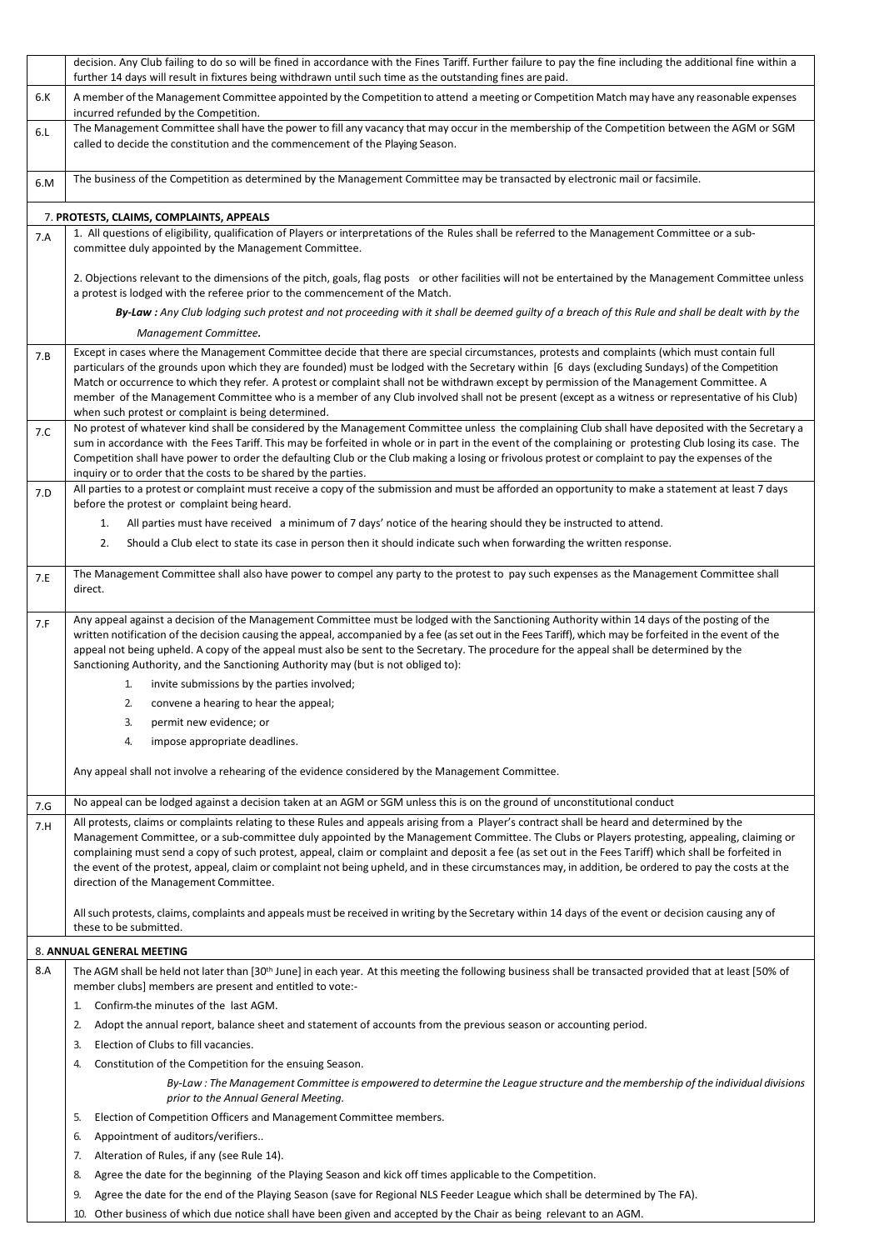|     | decision. Any Club failing to do so will be fined in accordance with the Fines Tariff. Further failure to pay the fine including the additional fine within a<br>further 14 days will result in fixtures being withdrawn until such time as the outstanding fines are paid.                                                                                                                                                                                                                                                                                                                                                                                |
|-----|------------------------------------------------------------------------------------------------------------------------------------------------------------------------------------------------------------------------------------------------------------------------------------------------------------------------------------------------------------------------------------------------------------------------------------------------------------------------------------------------------------------------------------------------------------------------------------------------------------------------------------------------------------|
| 6.K | A member of the Management Committee appointed by the Competition to attend a meeting or Competition Match may have any reasonable expenses                                                                                                                                                                                                                                                                                                                                                                                                                                                                                                                |
|     | incurred refunded by the Competition.<br>The Management Committee shall have the power to fill any vacancy that may occur in the membership of the Competition between the AGM or SGM                                                                                                                                                                                                                                                                                                                                                                                                                                                                      |
| 6.L | called to decide the constitution and the commencement of the Playing Season.                                                                                                                                                                                                                                                                                                                                                                                                                                                                                                                                                                              |
| 6.M | The business of the Competition as determined by the Management Committee may be transacted by electronic mail or facsimile.                                                                                                                                                                                                                                                                                                                                                                                                                                                                                                                               |
|     | 7. PROTESTS, CLAIMS, COMPLAINTS, APPEALS                                                                                                                                                                                                                                                                                                                                                                                                                                                                                                                                                                                                                   |
| 7.A | 1. All questions of eligibility, qualification of Players or interpretations of the Rules shall be referred to the Management Committee or a sub-<br>committee duly appointed by the Management Committee.                                                                                                                                                                                                                                                                                                                                                                                                                                                 |
|     | 2. Objections relevant to the dimensions of the pitch, goals, flag posts or other facilities will not be entertained by the Management Committee unless<br>a protest is lodged with the referee prior to the commencement of the Match.                                                                                                                                                                                                                                                                                                                                                                                                                    |
|     | By-Law : Any Club lodging such protest and not proceeding with it shall be deemed guilty of a breach of this Rule and shall be dealt with by the<br>Management Committee.                                                                                                                                                                                                                                                                                                                                                                                                                                                                                  |
| 7.B | Except in cases where the Management Committee decide that there are special circumstances, protests and complaints (which must contain full<br>particulars of the grounds upon which they are founded) must be lodged with the Secretary within [6 days (excluding Sundays) of the Competition<br>Match or occurrence to which they refer. A protest or complaint shall not be withdrawn except by permission of the Management Committee. A<br>member of the Management Committee who is a member of any Club involved shall not be present (except as a witness or representative of his Club)<br>when such protest or complaint is being determined.   |
| 7.C | No protest of whatever kind shall be considered by the Management Committee unless the complaining Club shall have deposited with the Secretary a<br>sum in accordance with the Fees Tariff. This may be forfeited in whole or in part in the event of the complaining or protesting Club losing its case. The<br>Competition shall have power to order the defaulting Club or the Club making a losing or frivolous protest or complaint to pay the expenses of the<br>inquiry or to order that the costs to be shared by the parties.                                                                                                                    |
| 7.D | All parties to a protest or complaint must receive a copy of the submission and must be afforded an opportunity to make a statement at least 7 days<br>before the protest or complaint being heard.                                                                                                                                                                                                                                                                                                                                                                                                                                                        |
|     | All parties must have received a minimum of 7 days' notice of the hearing should they be instructed to attend.<br>1.                                                                                                                                                                                                                                                                                                                                                                                                                                                                                                                                       |
|     | Should a Club elect to state its case in person then it should indicate such when forwarding the written response.<br>2.                                                                                                                                                                                                                                                                                                                                                                                                                                                                                                                                   |
|     | The Management Committee shall also have power to compel any party to the protest to pay such expenses as the Management Committee shall                                                                                                                                                                                                                                                                                                                                                                                                                                                                                                                   |
| 7.E | direct.                                                                                                                                                                                                                                                                                                                                                                                                                                                                                                                                                                                                                                                    |
| 7.F | Any appeal against a decision of the Management Committee must be lodged with the Sanctioning Authority within 14 days of the posting of the<br>written notification of the decision causing the appeal, accompanied by a fee (as set out in the Fees Tariff), which may be forfeited in the event of the<br>appeal not being upheld. A copy of the appeal must also be sent to the Secretary. The procedure for the appeal shall be determined by the<br>Sanctioning Authority, and the Sanctioning Authority may (but is not obliged to):                                                                                                                |
|     | invite submissions by the parties involved;<br>1.                                                                                                                                                                                                                                                                                                                                                                                                                                                                                                                                                                                                          |
|     | 2.<br>convene a hearing to hear the appeal;                                                                                                                                                                                                                                                                                                                                                                                                                                                                                                                                                                                                                |
|     | permit new evidence; or<br>3.                                                                                                                                                                                                                                                                                                                                                                                                                                                                                                                                                                                                                              |
|     | impose appropriate deadlines.<br>4.                                                                                                                                                                                                                                                                                                                                                                                                                                                                                                                                                                                                                        |
|     | Any appeal shall not involve a rehearing of the evidence considered by the Management Committee.                                                                                                                                                                                                                                                                                                                                                                                                                                                                                                                                                           |
| 7.G | No appeal can be lodged against a decision taken at an AGM or SGM unless this is on the ground of unconstitutional conduct                                                                                                                                                                                                                                                                                                                                                                                                                                                                                                                                 |
| 7.H | All protests, claims or complaints relating to these Rules and appeals arising from a Player's contract shall be heard and determined by the<br>Management Committee, or a sub-committee duly appointed by the Management Committee. The Clubs or Players protesting, appealing, claiming or<br>complaining must send a copy of such protest, appeal, claim or complaint and deposit a fee (as set out in the Fees Tariff) which shall be forfeited in<br>the event of the protest, appeal, claim or complaint not being upheld, and in these circumstances may, in addition, be ordered to pay the costs at the<br>direction of the Management Committee. |
|     | All such protests, claims, complaints and appeals must be received in writing by the Secretary within 14 days of the event or decision causing any of<br>these to be submitted.                                                                                                                                                                                                                                                                                                                                                                                                                                                                            |
|     | 8. ANNUAL GENERAL MEETING                                                                                                                                                                                                                                                                                                                                                                                                                                                                                                                                                                                                                                  |
| 8.A | The AGM shall be held not later than [30 <sup>th</sup> June] in each year. At this meeting the following business shall be transacted provided that at least [50% of<br>member clubs] members are present and entitled to vote:-                                                                                                                                                                                                                                                                                                                                                                                                                           |
|     | Confirm the minutes of the last AGM.<br>1.                                                                                                                                                                                                                                                                                                                                                                                                                                                                                                                                                                                                                 |
|     | Adopt the annual report, balance sheet and statement of accounts from the previous season or accounting period.<br>2.                                                                                                                                                                                                                                                                                                                                                                                                                                                                                                                                      |
|     | Election of Clubs to fill vacancies.<br>3.                                                                                                                                                                                                                                                                                                                                                                                                                                                                                                                                                                                                                 |
|     | Constitution of the Competition for the ensuing Season.<br>4.                                                                                                                                                                                                                                                                                                                                                                                                                                                                                                                                                                                              |
|     | By-Law: The Management Committee is empowered to determine the League structure and the membership of the individual divisions<br>prior to the Annual General Meeting.                                                                                                                                                                                                                                                                                                                                                                                                                                                                                     |
|     | Election of Competition Officers and Management Committee members.<br>5.                                                                                                                                                                                                                                                                                                                                                                                                                                                                                                                                                                                   |
|     | Appointment of auditors/verifiers<br>6.                                                                                                                                                                                                                                                                                                                                                                                                                                                                                                                                                                                                                    |
|     | Alteration of Rules, if any (see Rule 14).<br>7.                                                                                                                                                                                                                                                                                                                                                                                                                                                                                                                                                                                                           |
|     | Agree the date for the beginning of the Playing Season and kick off times applicable to the Competition.<br>8.                                                                                                                                                                                                                                                                                                                                                                                                                                                                                                                                             |
|     | Agree the date for the end of the Playing Season (save for Regional NLS Feeder League which shall be determined by The FA).<br>9.<br>Other business of which due notice shall have been given and accepted by the Chair as being relevant to an AGM.<br>10.                                                                                                                                                                                                                                                                                                                                                                                                |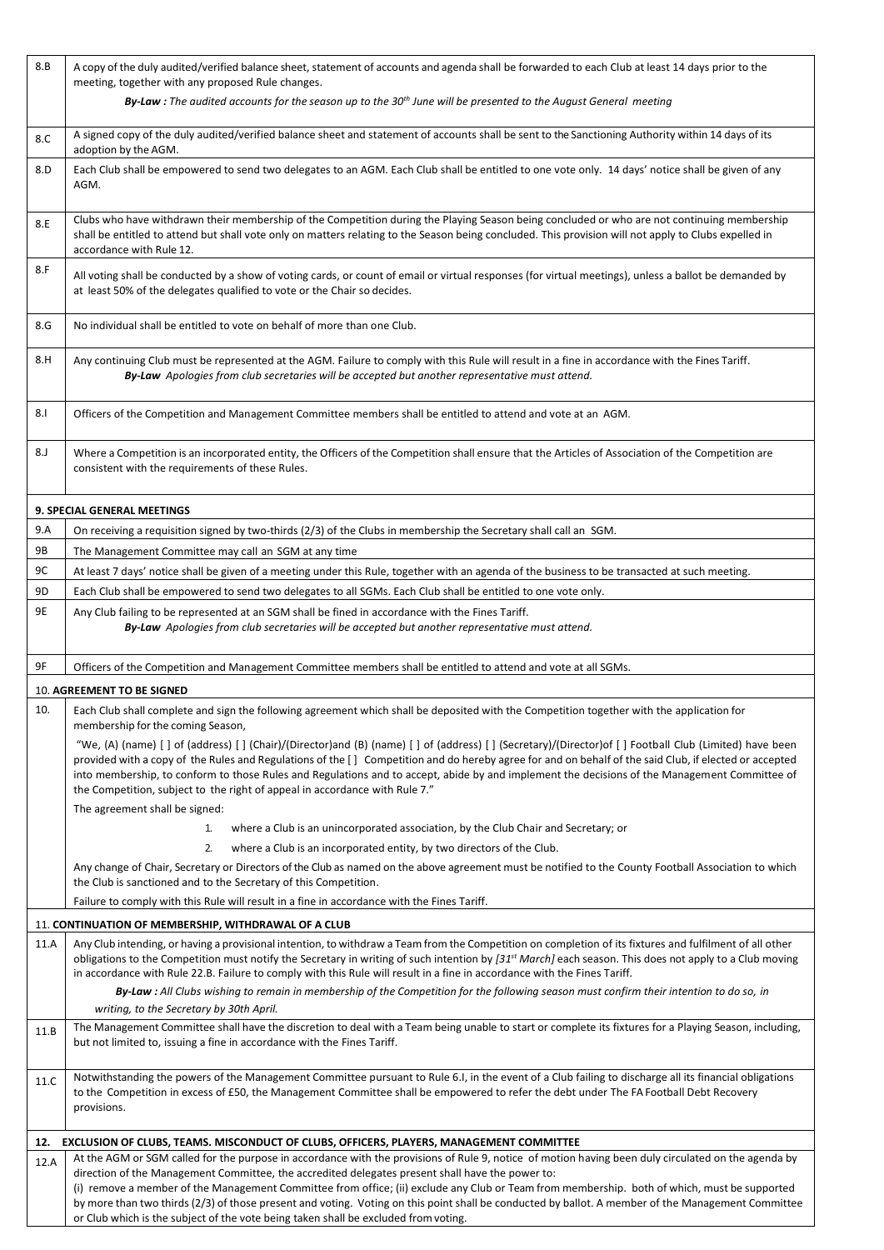| 8.B  | A copy of the duly audited/verified balance sheet, statement of accounts and agenda shall be forwarded to each Club at least 14 days prior to the<br>meeting, together with any proposed Rule changes.                                                                                                                                                                                                                                                       |
|------|--------------------------------------------------------------------------------------------------------------------------------------------------------------------------------------------------------------------------------------------------------------------------------------------------------------------------------------------------------------------------------------------------------------------------------------------------------------|
|      | By-Law : The audited accounts for the season up to the 30th June will be presented to the August General meeting                                                                                                                                                                                                                                                                                                                                             |
| 8.C  | A signed copy of the duly audited/verified balance sheet and statement of accounts shall be sent to the Sanctioning Authority within 14 days of its<br>adoption by the AGM.                                                                                                                                                                                                                                                                                  |
| 8.D  | Each Club shall be empowered to send two delegates to an AGM. Each Club shall be entitled to one vote only. 14 days' notice shall be given of any<br>AGM.                                                                                                                                                                                                                                                                                                    |
| 8.E  | Clubs who have withdrawn their membership of the Competition during the Playing Season being concluded or who are not continuing membership<br>shall be entitled to attend but shall vote only on matters relating to the Season being concluded. This provision will not apply to Clubs expelled in<br>accordance with Rule 12.                                                                                                                             |
| 8.F  | All voting shall be conducted by a show of voting cards, or count of email or virtual responses (for virtual meetings), unless a ballot be demanded by<br>at least 50% of the delegates qualified to vote or the Chair so decides.                                                                                                                                                                                                                           |
| 8.G  | No individual shall be entitled to vote on behalf of more than one Club.                                                                                                                                                                                                                                                                                                                                                                                     |
| 8.H  | Any continuing Club must be represented at the AGM. Failure to comply with this Rule will result in a fine in accordance with the Fines Tariff.<br>By-Law Apologies from club secretaries will be accepted but another representative must attend.                                                                                                                                                                                                           |
| 8.I  | Officers of the Competition and Management Committee members shall be entitled to attend and vote at an AGM.                                                                                                                                                                                                                                                                                                                                                 |
| 8.J  | Where a Competition is an incorporated entity, the Officers of the Competition shall ensure that the Articles of Association of the Competition are<br>consistent with the requirements of these Rules.                                                                                                                                                                                                                                                      |
|      | 9. SPECIAL GENERAL MEETINGS                                                                                                                                                                                                                                                                                                                                                                                                                                  |
| 9.A  | On receiving a requisition signed by two-thirds (2/3) of the Clubs in membership the Secretary shall call an SGM.                                                                                                                                                                                                                                                                                                                                            |
| 9B   | The Management Committee may call an SGM at any time                                                                                                                                                                                                                                                                                                                                                                                                         |
| 9C   | At least 7 days' notice shall be given of a meeting under this Rule, together with an agenda of the business to be transacted at such meeting.                                                                                                                                                                                                                                                                                                               |
| 9D   | Each Club shall be empowered to send two delegates to all SGMs. Each Club shall be entitled to one vote only.                                                                                                                                                                                                                                                                                                                                                |
| 9E   | Any Club failing to be represented at an SGM shall be fined in accordance with the Fines Tariff.<br>By-Law Apologies from club secretaries will be accepted but another representative must attend.                                                                                                                                                                                                                                                          |
| 9F   | Officers of the Competition and Management Committee members shall be entitled to attend and vote at all SGMs.                                                                                                                                                                                                                                                                                                                                               |
|      | 10. AGREEMENT TO BE SIGNED                                                                                                                                                                                                                                                                                                                                                                                                                                   |
| 10.  | Each Club shall complete and sign the following agreement which shall be deposited with the Competition together with the application for                                                                                                                                                                                                                                                                                                                    |
|      | membership for the coming Season,                                                                                                                                                                                                                                                                                                                                                                                                                            |
|      | "We, (A) (name) [] of (address) [] (Chair)/(Director)and (B) (name) [] of (address) [] (Secretary)/(Director)of [] Football Club (Limited) have been<br>provided with a copy of the Rules and Regulations of the [] Competition and do hereby agree for and on behalf of the said Club, if elected or accepted                                                                                                                                               |
|      | into membership, to conform to those Rules and Regulations and to accept, abide by and implement the decisions of the Management Committee of<br>the Competition, subject to the right of appeal in accordance with Rule 7."                                                                                                                                                                                                                                 |
|      | The agreement shall be signed:                                                                                                                                                                                                                                                                                                                                                                                                                               |
|      | where a Club is an unincorporated association, by the Club Chair and Secretary; or<br>1.                                                                                                                                                                                                                                                                                                                                                                     |
|      | 2.<br>where a Club is an incorporated entity, by two directors of the Club.                                                                                                                                                                                                                                                                                                                                                                                  |
|      | Any change of Chair, Secretary or Directors of the Club as named on the above agreement must be notified to the County Football Association to which<br>the Club is sanctioned and to the Secretary of this Competition.                                                                                                                                                                                                                                     |
|      | Failure to comply with this Rule will result in a fine in accordance with the Fines Tariff.                                                                                                                                                                                                                                                                                                                                                                  |
|      | 11. CONTINUATION OF MEMBERSHIP, WITHDRAWAL OF A CLUB                                                                                                                                                                                                                                                                                                                                                                                                         |
| 11.A | Any Club intending, or having a provisional intention, to withdraw a Team from the Competition on completion of its fixtures and fulfilment of all other<br>obligations to the Competition must notify the Secretary in writing of such intention by [31 <sup>st</sup> March] each season. This does not apply to a Club moving<br>in accordance with Rule 22.B. Failure to comply with this Rule will result in a fine in accordance with the Fines Tariff. |
|      | By-Law: All Clubs wishing to remain in membership of the Competition for the following season must confirm their intention to do so, in<br>writing, to the Secretary by 30th April.                                                                                                                                                                                                                                                                          |
| 11.B | The Management Committee shall have the discretion to deal with a Team being unable to start or complete its fixtures for a Playing Season, including,<br>but not limited to, issuing a fine in accordance with the Fines Tariff.                                                                                                                                                                                                                            |
| 11.C | Notwithstanding the powers of the Management Committee pursuant to Rule 6.I, in the event of a Club failing to discharge all its financial obligations<br>to the Competition in excess of £50, the Management Committee shall be empowered to refer the debt under The FA Football Debt Recovery<br>provisions.                                                                                                                                              |
| 12.  | EXCLUSION OF CLUBS, TEAMS. MISCONDUCT OF CLUBS, OFFICERS, PLAYERS, MANAGEMENT COMMITTEE                                                                                                                                                                                                                                                                                                                                                                      |
| 12.A | At the AGM or SGM called for the purpose in accordance with the provisions of Rule 9, notice of motion having been duly circulated on the agenda by                                                                                                                                                                                                                                                                                                          |
|      | direction of the Management Committee, the accredited delegates present shall have the power to:<br>(i) remove a member of the Management Committee from office; (ii) exclude any Club or Team from membership. both of which, must be supported                                                                                                                                                                                                             |
|      | by more than two thirds (2/3) of those present and voting. Voting on this point shall be conducted by ballot. A member of the Management Committee                                                                                                                                                                                                                                                                                                           |
|      | or Club which is the subject of the vote being taken shall be excluded from voting.                                                                                                                                                                                                                                                                                                                                                                          |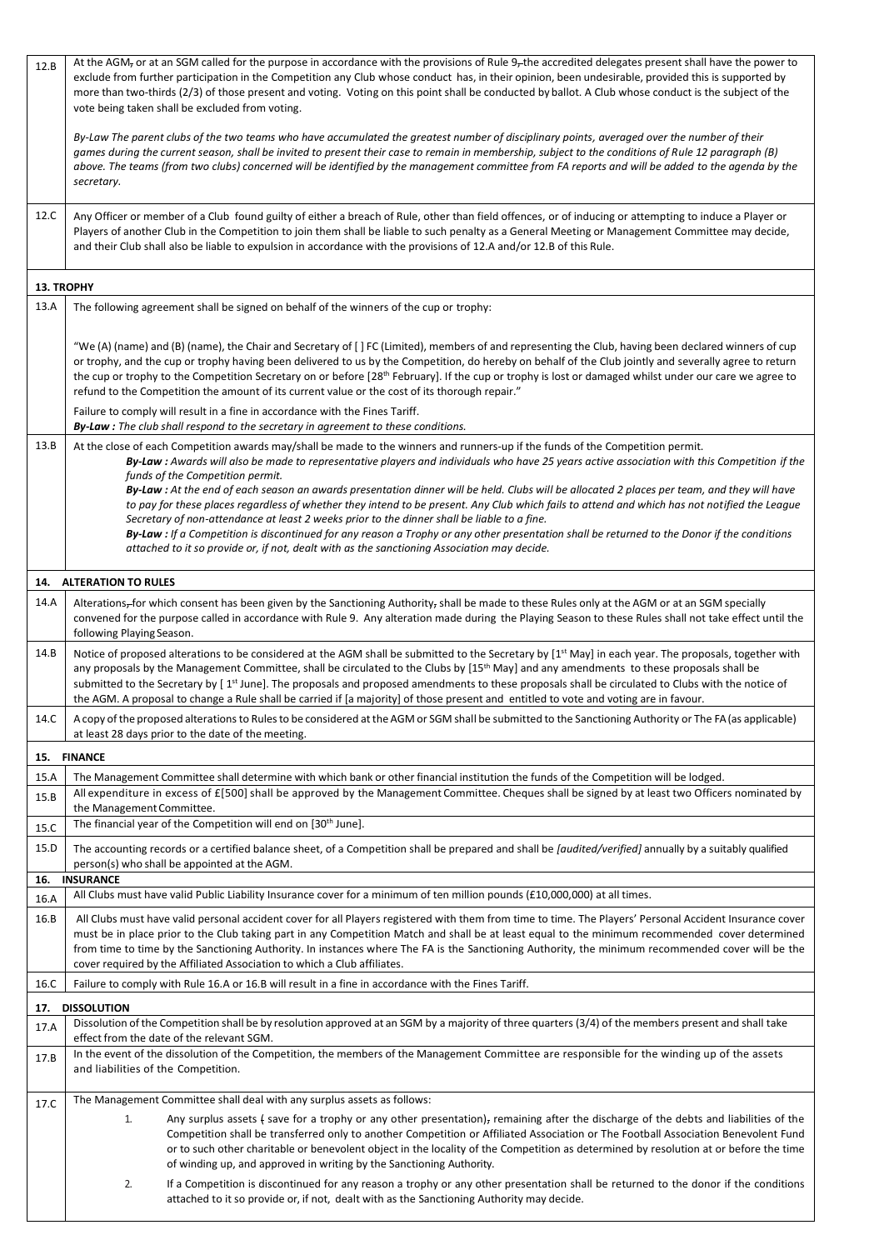| 12.B              | At the AGM <sub>7</sub> or at an SGM called for the purpose in accordance with the provisions of Rule 9 <sub>7</sub> the accredited delegates present shall have the power to                                                                                                                                                                                                                                                                                                                                                                                                                                                                     |
|-------------------|---------------------------------------------------------------------------------------------------------------------------------------------------------------------------------------------------------------------------------------------------------------------------------------------------------------------------------------------------------------------------------------------------------------------------------------------------------------------------------------------------------------------------------------------------------------------------------------------------------------------------------------------------|
|                   | exclude from further participation in the Competition any Club whose conduct has, in their opinion, been undesirable, provided this is supported by<br>more than two-thirds (2/3) of those present and voting. Voting on this point shall be conducted by ballot. A Club whose conduct is the subject of the<br>vote being taken shall be excluded from voting.                                                                                                                                                                                                                                                                                   |
|                   | By-Law The parent clubs of the two teams who have accumulated the greatest number of disciplinary points, averaged over the number of their<br>games during the current season, shall be invited to present their case to remain in membership, subject to the conditions of Rule 12 paragraph (B)<br>above. The teams (from two clubs) concerned will be identified by the management committee from FA reports and will be added to the agenda by the<br>secretary.                                                                                                                                                                             |
| 12.C              | Any Officer or member of a Club found guilty of either a breach of Rule, other than field offences, or of inducing or attempting to induce a Player or<br>Players of another Club in the Competition to join them shall be liable to such penalty as a General Meeting or Management Committee may decide,<br>and their Club shall also be liable to expulsion in accordance with the provisions of 12.A and/or 12.B of this Rule.                                                                                                                                                                                                                |
| <b>13. TROPHY</b> |                                                                                                                                                                                                                                                                                                                                                                                                                                                                                                                                                                                                                                                   |
| 13.A              | The following agreement shall be signed on behalf of the winners of the cup or trophy:                                                                                                                                                                                                                                                                                                                                                                                                                                                                                                                                                            |
|                   | "We (A) (name) and (B) (name), the Chair and Secretary of [] FC (Limited), members of and representing the Club, having been declared winners of cup<br>or trophy, and the cup or trophy having been delivered to us by the Competition, do hereby on behalf of the Club jointly and severally agree to return<br>the cup or trophy to the Competition Secretary on or before [28 <sup>th</sup> February]. If the cup or trophy is lost or damaged whilst under our care we agree to<br>refund to the Competition the amount of its current value or the cost of its thorough repair."                                                            |
|                   | Failure to comply will result in a fine in accordance with the Fines Tariff.<br>By-Law: The club shall respond to the secretary in agreement to these conditions.                                                                                                                                                                                                                                                                                                                                                                                                                                                                                 |
| 13.B              | At the close of each Competition awards may/shall be made to the winners and runners-up if the funds of the Competition permit.<br>By-Law : Awards will also be made to representative players and individuals who have 25 years active association with this Competition if the<br>funds of the Competition permit.                                                                                                                                                                                                                                                                                                                              |
|                   | By-Law: At the end of each season an awards presentation dinner will be held. Clubs will be allocated 2 places per team, and they will have<br>to pay for these places regardless of whether they intend to be present. Any Club which fails to attend and which has not notified the League<br>Secretary of non-attendance at least 2 weeks prior to the dinner shall be liable to a fine.<br><b>By-Law</b> : If a Competition is discontinued for any reason a Trophy or any other presentation shall be returned to the Donor if the conditions<br>attached to it so provide or, if not, dealt with as the sanctioning Association may decide. |
|                   | 14. ALTERATION TO RULES                                                                                                                                                                                                                                                                                                                                                                                                                                                                                                                                                                                                                           |
| 14.A              | Alterations-for which consent has been given by the Sanctioning Authority, shall be made to these Rules only at the AGM or at an SGM specially                                                                                                                                                                                                                                                                                                                                                                                                                                                                                                    |
|                   | convened for the purpose called in accordance with Rule 9. Any alteration made during the Playing Season to these Rules shall not take effect until the<br>following Playing Season.                                                                                                                                                                                                                                                                                                                                                                                                                                                              |
| 14.B              | Notice of proposed alterations to be considered at the AGM shall be submitted to the Secretary by [1 <sup>st</sup> May] in each year. The proposals, together with<br>any proposals by the Management Committee, shall be circulated to the Clubs by [15 <sup>th</sup> May] and any amendments to these proposals shall be<br>submitted to the Secretary by [1 <sup>st</sup> June]. The proposals and proposed amendments to these proposals shall be circulated to Clubs with the notice of<br>the AGM. A proposal to change a Rule shall be carried if [a majority] of those present and entitled to vote and voting are in favour.             |
| 14.C              | A copy of the proposed alterations to Rules to be considered at the AGM or SGM shall be submitted to the Sanctioning Authority or The FA (as applicable)<br>at least 28 days prior to the date of the meeting.                                                                                                                                                                                                                                                                                                                                                                                                                                    |
|                   | 15. FINANCE                                                                                                                                                                                                                                                                                                                                                                                                                                                                                                                                                                                                                                       |
| 15.A              | The Management Committee shall determine with which bank or other financial institution the funds of the Competition will be lodged.                                                                                                                                                                                                                                                                                                                                                                                                                                                                                                              |
| 15.B<br>15.C      | All expenditure in excess of £[500] shall be approved by the Management Committee. Cheques shall be signed by at least two Officers nominated by<br>the Management Committee.<br>The financial year of the Competition will end on [30 <sup>th</sup> June].                                                                                                                                                                                                                                                                                                                                                                                       |
| 15.D              | The accounting records or a certified balance sheet, of a Competition shall be prepared and shall be [audited/verified] annually by a suitably qualified                                                                                                                                                                                                                                                                                                                                                                                                                                                                                          |
| 16.               | person(s) who shall be appointed at the AGM.<br><b>INSURANCE</b>                                                                                                                                                                                                                                                                                                                                                                                                                                                                                                                                                                                  |
| 16.A              | All Clubs must have valid Public Liability Insurance cover for a minimum of ten million pounds (£10,000,000) at all times.                                                                                                                                                                                                                                                                                                                                                                                                                                                                                                                        |
| 16.B              | All Clubs must have valid personal accident cover for all Players registered with them from time to time. The Players' Personal Accident Insurance cover<br>must be in place prior to the Club taking part in any Competition Match and shall be at least equal to the minimum recommended cover determined<br>from time to time by the Sanctioning Authority. In instances where The FA is the Sanctioning Authority, the minimum recommended cover will be the                                                                                                                                                                                  |
| 16.C              | cover required by the Affiliated Association to which a Club affiliates.<br>Failure to comply with Rule 16.A or 16.B will result in a fine in accordance with the Fines Tariff.                                                                                                                                                                                                                                                                                                                                                                                                                                                                   |
| 17.               | <b>DISSOLUTION</b>                                                                                                                                                                                                                                                                                                                                                                                                                                                                                                                                                                                                                                |
| 17.A              | Dissolution of the Competition shall be by resolution approved at an SGM by a majority of three quarters (3/4) of the members present and shall take<br>effect from the date of the relevant SGM.                                                                                                                                                                                                                                                                                                                                                                                                                                                 |
| 17.B              | In the event of the dissolution of the Competition, the members of the Management Committee are responsible for the winding up of the assets<br>and liabilities of the Competition.                                                                                                                                                                                                                                                                                                                                                                                                                                                               |
| 17.C              | The Management Committee shall deal with any surplus assets as follows:                                                                                                                                                                                                                                                                                                                                                                                                                                                                                                                                                                           |
|                   | Any surplus assets { save for a trophy or any other presentation), remaining after the discharge of the debts and liabilities of the<br>1.<br>Competition shall be transferred only to another Competition or Affiliated Association or The Football Association Benevolent Fund<br>or to such other charitable or benevolent object in the locality of the Competition as determined by resolution at or before the time<br>of winding up, and approved in writing by the Sanctioning Authority.                                                                                                                                                 |
|                   | 2.<br>If a Competition is discontinued for any reason a trophy or any other presentation shall be returned to the donor if the conditions<br>attached to it so provide or, if not, dealt with as the Sanctioning Authority may decide.                                                                                                                                                                                                                                                                                                                                                                                                            |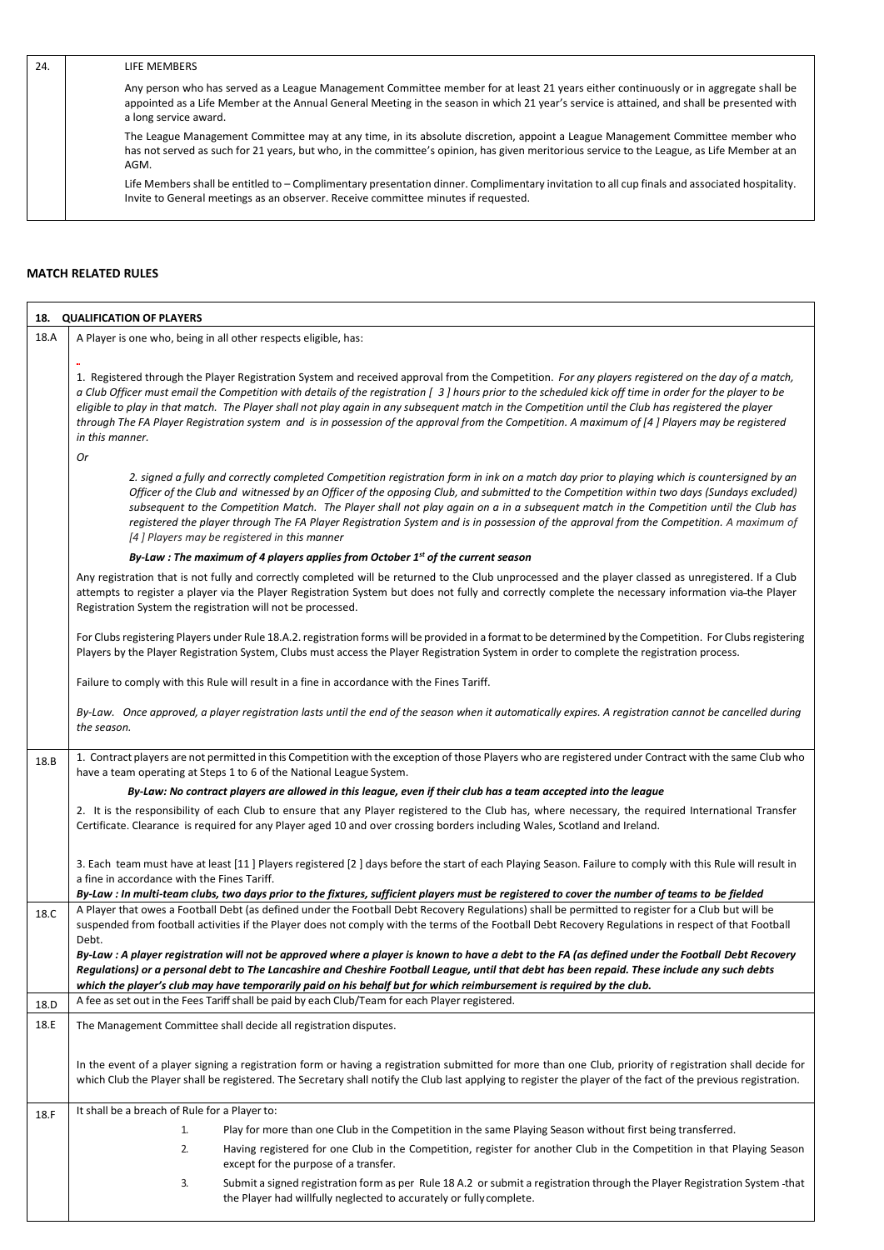| 24. | LIFE MEMBERS                                                                                                                                                                                                                                                                                                |
|-----|-------------------------------------------------------------------------------------------------------------------------------------------------------------------------------------------------------------------------------------------------------------------------------------------------------------|
|     | Any person who has served as a League Management Committee member for at least 21 years either continuously or in aggregate shall be<br>appointed as a Life Member at the Annual General Meeting in the season in which 21 year's service is attained, and shall be presented with<br>a long service award. |
|     | The League Management Committee may at any time, in its absolute discretion, appoint a League Management Committee member who<br>has not served as such for 21 years, but who, in the committee's opinion, has given meritorious service to the League, as Life Member at an<br>AGM.                        |
|     | Life Members shall be entitled to – Complimentary presentation dinner. Complimentary invitation to all cup finals and associated hospitality.<br>Invite to General meetings as an observer. Receive committee minutes if requested.                                                                         |

## **MATCH RELATED RULES**

|      | 18. QUALIFICATION OF PLAYERS                                                                                                                                                                                                                                                                                                                                                                                                                                                                                                                                                                                                                |
|------|---------------------------------------------------------------------------------------------------------------------------------------------------------------------------------------------------------------------------------------------------------------------------------------------------------------------------------------------------------------------------------------------------------------------------------------------------------------------------------------------------------------------------------------------------------------------------------------------------------------------------------------------|
| 18.A | A Player is one who, being in all other respects eligible, has:                                                                                                                                                                                                                                                                                                                                                                                                                                                                                                                                                                             |
|      | 1. Registered through the Player Registration System and received approval from the Competition. For any players registered on the day of a match,<br>a Club Officer must email the Competition with details of the registration [ 3] hours prior to the scheduled kick off time in order for the player to be<br>eligible to play in that match. The Player shall not play again in any subsequent match in the Competition until the Club has registered the player<br>through The FA Player Registration system and is in possession of the approval from the Competition. A maximum of [4] Players may be registered<br>in this manner. |
|      | 0r<br>2. signed a fully and correctly completed Competition registration form in ink on a match day prior to playing which is countersigned by an<br>Officer of the Club and witnessed by an Officer of the opposing Club, and submitted to the Competition within two days (Sundays excluded)<br>subsequent to the Competition Match. The Player shall not play again on a in a subsequent match in the Competition until the Club has<br>registered the player through The FA Player Registration System and is in possession of the approval from the Competition. A maximum of<br>[4] Players may be registered in this manner          |
|      | By-Law : The maximum of 4 players applies from October 1st of the current season                                                                                                                                                                                                                                                                                                                                                                                                                                                                                                                                                            |
|      | Any registration that is not fully and correctly completed will be returned to the Club unprocessed and the player classed as unregistered. If a Club<br>attempts to register a player via the Player Registration System but does not fully and correctly complete the necessary information via-the Player<br>Registration System the registration will not be processed.                                                                                                                                                                                                                                                                 |
|      | For Clubs registering Players under Rule 18.A.2. registration forms will be provided in a format to be determined by the Competition. For Clubs registering<br>Players by the Player Registration System, Clubs must access the Player Registration System in order to complete the registration process.                                                                                                                                                                                                                                                                                                                                   |
|      | Failure to comply with this Rule will result in a fine in accordance with the Fines Tariff.                                                                                                                                                                                                                                                                                                                                                                                                                                                                                                                                                 |
|      | By-Law. Once approved, a player registration lasts until the end of the season when it automatically expires. A registration cannot be cancelled during<br>the season.                                                                                                                                                                                                                                                                                                                                                                                                                                                                      |
| 18.B | 1. Contract players are not permitted in this Competition with the exception of those Players who are registered under Contract with the same Club who<br>have a team operating at Steps 1 to 6 of the National League System.                                                                                                                                                                                                                                                                                                                                                                                                              |
|      | By-Law: No contract players are allowed in this league, even if their club has a team accepted into the league                                                                                                                                                                                                                                                                                                                                                                                                                                                                                                                              |
|      | 2. It is the responsibility of each Club to ensure that any Player registered to the Club has, where necessary, the required International Transfer<br>Certificate. Clearance is required for any Player aged 10 and over crossing borders including Wales, Scotland and Ireland.                                                                                                                                                                                                                                                                                                                                                           |
|      | 3. Each team must have at least [11] Players registered [2] days before the start of each Playing Season. Failure to comply with this Rule will result in<br>a fine in accordance with the Fines Tariff.<br>By-Law : In multi-team clubs, two days prior to the fixtures, sufficient players must be registered to cover the number of teams to be fielded                                                                                                                                                                                                                                                                                  |
| 18.C | A Player that owes a Football Debt (as defined under the Football Debt Recovery Regulations) shall be permitted to register for a Club but will be<br>suspended from football activities if the Player does not comply with the terms of the Football Debt Recovery Regulations in respect of that Football<br>Debt.                                                                                                                                                                                                                                                                                                                        |
|      | By-Law : A player registration will not be approved where a player is known to have a debt to the FA (as defined under the Football Debt Recovery<br>Regulations) or a personal debt to The Lancashire and Cheshire Football League, until that debt has been repaid. These include any such debts<br>which the player's club may have temporarily paid on his behalf but for which reimbursement is required by the club.                                                                                                                                                                                                                  |
| 18.D | A fee as set out in the Fees Tariff shall be paid by each Club/Team for each Player registered.                                                                                                                                                                                                                                                                                                                                                                                                                                                                                                                                             |
| 18.E | The Management Committee shall decide all registration disputes.                                                                                                                                                                                                                                                                                                                                                                                                                                                                                                                                                                            |
|      | In the event of a player signing a registration form or having a registration submitted for more than one Club, priority of registration shall decide for<br>which Club the Player shall be registered. The Secretary shall notify the Club last applying to register the player of the fact of the previous registration.                                                                                                                                                                                                                                                                                                                  |
| 18.F | It shall be a breach of Rule for a Player to:                                                                                                                                                                                                                                                                                                                                                                                                                                                                                                                                                                                               |
|      | Play for more than one Club in the Competition in the same Playing Season without first being transferred.<br>1.                                                                                                                                                                                                                                                                                                                                                                                                                                                                                                                            |
|      | 2.<br>Having registered for one Club in the Competition, register for another Club in the Competition in that Playing Season<br>except for the purpose of a transfer.                                                                                                                                                                                                                                                                                                                                                                                                                                                                       |
|      | Submit a signed registration form as per Rule 18 A.2 or submit a registration through the Player Registration System -that<br>3.<br>the Player had willfully neglected to accurately or fully complete.                                                                                                                                                                                                                                                                                                                                                                                                                                     |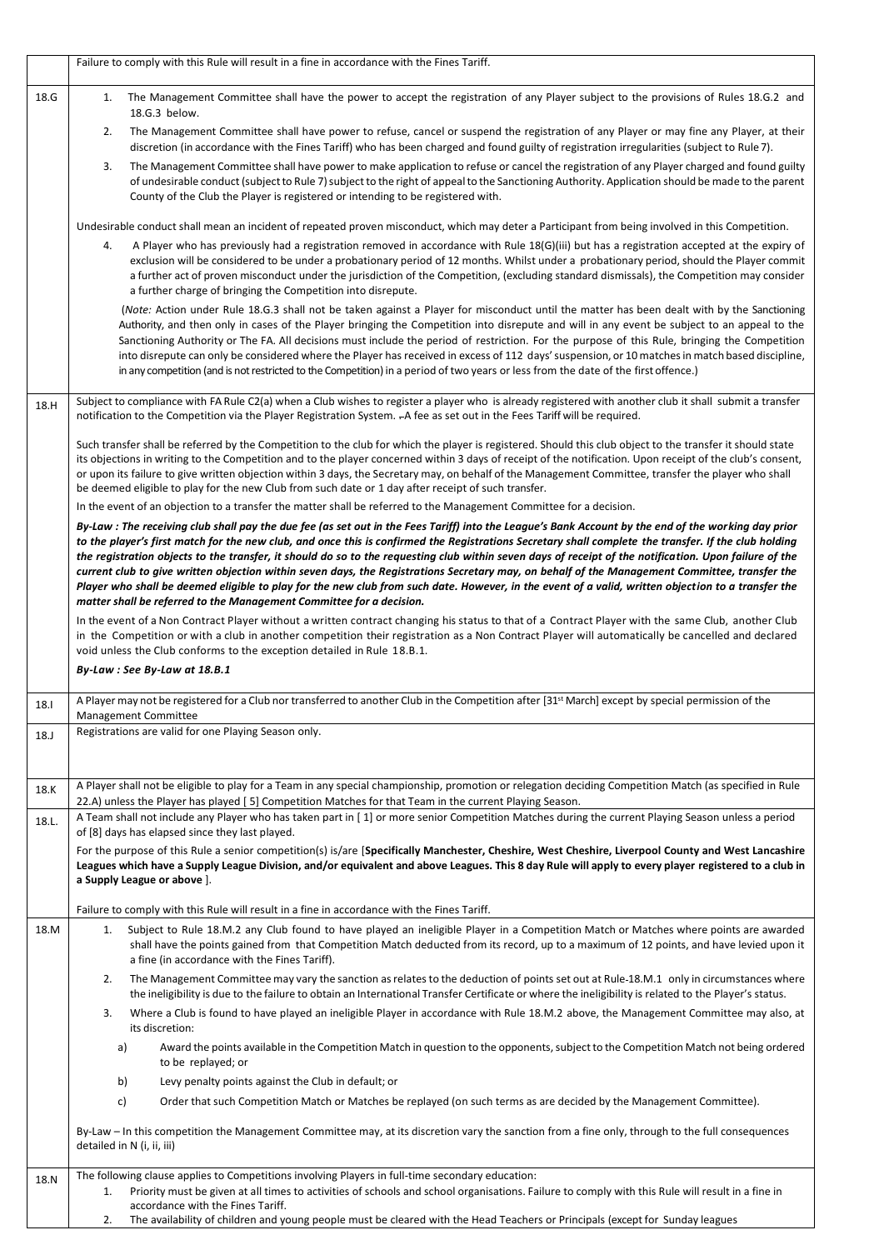|       | Failure to comply with this Rule will result in a fine in accordance with the Fines Tariff.                                                                                                                                                                                                                                                                                                                                                                                                                                                                                                                                                                                                                                                                                                                                                                                                                                                                                    |
|-------|--------------------------------------------------------------------------------------------------------------------------------------------------------------------------------------------------------------------------------------------------------------------------------------------------------------------------------------------------------------------------------------------------------------------------------------------------------------------------------------------------------------------------------------------------------------------------------------------------------------------------------------------------------------------------------------------------------------------------------------------------------------------------------------------------------------------------------------------------------------------------------------------------------------------------------------------------------------------------------|
| 18.G  | The Management Committee shall have the power to accept the registration of any Player subject to the provisions of Rules 18.G.2 and<br>1.<br>18.G.3 below.                                                                                                                                                                                                                                                                                                                                                                                                                                                                                                                                                                                                                                                                                                                                                                                                                    |
|       | The Management Committee shall have power to refuse, cancel or suspend the registration of any Player or may fine any Player, at their<br>2.<br>discretion (in accordance with the Fines Tariff) who has been charged and found guilty of registration irregularities (subject to Rule 7).                                                                                                                                                                                                                                                                                                                                                                                                                                                                                                                                                                                                                                                                                     |
|       | The Management Committee shall have power to make application to refuse or cancel the registration of any Player charged and found guilty<br>3.<br>of undesirable conduct (subject to Rule 7) subject to the right of appeal to the Sanctioning Authority. Application should be made to the parent<br>County of the Club the Player is registered or intending to be registered with.                                                                                                                                                                                                                                                                                                                                                                                                                                                                                                                                                                                         |
|       | Undesirable conduct shall mean an incident of repeated proven misconduct, which may deter a Participant from being involved in this Competition.                                                                                                                                                                                                                                                                                                                                                                                                                                                                                                                                                                                                                                                                                                                                                                                                                               |
|       | A Player who has previously had a registration removed in accordance with Rule 18(G)(iii) but has a registration accepted at the expiry of<br>4.<br>exclusion will be considered to be under a probationary period of 12 months. Whilst under a probationary period, should the Player commit<br>a further act of proven misconduct under the jurisdiction of the Competition, (excluding standard dismissals), the Competition may consider<br>a further charge of bringing the Competition into disrepute.                                                                                                                                                                                                                                                                                                                                                                                                                                                                   |
|       | (Note: Action under Rule 18.G.3 shall not be taken against a Player for misconduct until the matter has been dealt with by the Sanctioning<br>Authority, and then only in cases of the Player bringing the Competition into disrepute and will in any event be subject to an appeal to the<br>Sanctioning Authority or The FA. All decisions must include the period of restriction. For the purpose of this Rule, bringing the Competition<br>into disrepute can only be considered where the Player has received in excess of 112 days' suspension, or 10 matches in match based discipline,<br>in any competition (and is not restricted to the Competition) in a period of two years or less from the date of the first offence.)                                                                                                                                                                                                                                          |
| 18.H  | Subject to compliance with FA Rule C2(a) when a Club wishes to register a player who is already registered with another club it shall submit a transfer<br>notification to the Competition via the Player Registration System. - A fee as set out in the Fees Tariff will be required.                                                                                                                                                                                                                                                                                                                                                                                                                                                                                                                                                                                                                                                                                         |
|       | Such transfer shall be referred by the Competition to the club for which the player is registered. Should this club object to the transfer it should state<br>its objections in writing to the Competition and to the player concerned within 3 days of receipt of the notification. Upon receipt of the club's consent,<br>or upon its failure to give written objection within 3 days, the Secretary may, on behalf of the Management Committee, transfer the player who shall<br>be deemed eligible to play for the new Club from such date or 1 day after receipt of such transfer.                                                                                                                                                                                                                                                                                                                                                                                        |
|       | In the event of an objection to a transfer the matter shall be referred to the Management Committee for a decision.<br>By-Law : The receiving club shall pay the due fee (as set out in the Fees Tariff) into the League's Bank Account by the end of the working day prior<br>to the player's first match for the new club, and once this is confirmed the Registrations Secretary shall complete the transfer. If the club holding<br>the registration objects to the transfer, it should do so to the requesting club within seven days of receipt of the notification. Upon failure of the<br>current club to give written objection within seven days, the Registrations Secretary may, on behalf of the Management Committee, transfer the<br>Player who shall be deemed eligible to play for the new club from such date. However, in the event of a valid, written objection to a transfer the<br>matter shall be referred to the Management Committee for a decision. |
|       | In the event of a Non Contract Player without a written contract changing his status to that of a Contract Player with the same Club, another Club<br>in the Competition or with a club in another competition their registration as a Non Contract Player will automatically be cancelled and declared<br>void unless the Club conforms to the exception detailed in Rule 18.B.1.                                                                                                                                                                                                                                                                                                                                                                                                                                                                                                                                                                                             |
|       | By-Law: See By-Law at 18.B.1                                                                                                                                                                                                                                                                                                                                                                                                                                                                                                                                                                                                                                                                                                                                                                                                                                                                                                                                                   |
| 18.I  | A Player may not be registered for a Club nor transferred to another Club in the Competition after [31st March] except by special permission of the<br><b>Management Committee</b>                                                                                                                                                                                                                                                                                                                                                                                                                                                                                                                                                                                                                                                                                                                                                                                             |
| 18.   | Registrations are valid for one Playing Season only.                                                                                                                                                                                                                                                                                                                                                                                                                                                                                                                                                                                                                                                                                                                                                                                                                                                                                                                           |
| 18.K  | A Player shall not be eligible to play for a Team in any special championship, promotion or relegation deciding Competition Match (as specified in Rule<br>22.A) unless the Player has played [5] Competition Matches for that Team in the current Playing Season.                                                                                                                                                                                                                                                                                                                                                                                                                                                                                                                                                                                                                                                                                                             |
| 18.L. | A Team shall not include any Player who has taken part in [1] or more senior Competition Matches during the current Playing Season unless a period<br>of [8] days has elapsed since they last played.                                                                                                                                                                                                                                                                                                                                                                                                                                                                                                                                                                                                                                                                                                                                                                          |
|       | For the purpose of this Rule a senior competition(s) is/are [Specifically Manchester, Cheshire, West Cheshire, Liverpool County and West Lancashire<br>Leagues which have a Supply League Division, and/or equivalent and above Leagues. This 8 day Rule will apply to every player registered to a club in<br>a Supply League or above ].                                                                                                                                                                                                                                                                                                                                                                                                                                                                                                                                                                                                                                     |
|       | Failure to comply with this Rule will result in a fine in accordance with the Fines Tariff.                                                                                                                                                                                                                                                                                                                                                                                                                                                                                                                                                                                                                                                                                                                                                                                                                                                                                    |
| 18.M  | Subject to Rule 18.M.2 any Club found to have played an ineligible Player in a Competition Match or Matches where points are awarded<br>1.<br>shall have the points gained from that Competition Match deducted from its record, up to a maximum of 12 points, and have levied upon it<br>a fine (in accordance with the Fines Tariff).                                                                                                                                                                                                                                                                                                                                                                                                                                                                                                                                                                                                                                        |
|       | The Management Committee may vary the sanction as relates to the deduction of points set out at Rule-18.M.1 only in circumstances where<br>2.<br>the ineligibility is due to the failure to obtain an International Transfer Certificate or where the ineligibility is related to the Player's status.                                                                                                                                                                                                                                                                                                                                                                                                                                                                                                                                                                                                                                                                         |
|       | Where a Club is found to have played an ineligible Player in accordance with Rule 18.M.2 above, the Management Committee may also, at<br>3.<br>its discretion:                                                                                                                                                                                                                                                                                                                                                                                                                                                                                                                                                                                                                                                                                                                                                                                                                 |
|       | Award the points available in the Competition Match in question to the opponents, subject to the Competition Match not being ordered<br>a)<br>to be replayed; or                                                                                                                                                                                                                                                                                                                                                                                                                                                                                                                                                                                                                                                                                                                                                                                                               |
|       | b)<br>Levy penalty points against the Club in default; or<br>c)<br>Order that such Competition Match or Matches be replayed (on such terms as are decided by the Management Committee).                                                                                                                                                                                                                                                                                                                                                                                                                                                                                                                                                                                                                                                                                                                                                                                        |
|       | By-Law - In this competition the Management Committee may, at its discretion vary the sanction from a fine only, through to the full consequences<br>detailed in N (i, ii, iii)                                                                                                                                                                                                                                                                                                                                                                                                                                                                                                                                                                                                                                                                                                                                                                                                |
| 18.N  | The following clause applies to Competitions involving Players in full-time secondary education:<br>Priority must be given at all times to activities of schools and school organisations. Failure to comply with this Rule will result in a fine in<br>1.                                                                                                                                                                                                                                                                                                                                                                                                                                                                                                                                                                                                                                                                                                                     |
|       | accordance with the Fines Tariff.<br>The availability of children and young people must be cleared with the Head Teachers or Principals (except for Sunday leagues<br>2.                                                                                                                                                                                                                                                                                                                                                                                                                                                                                                                                                                                                                                                                                                                                                                                                       |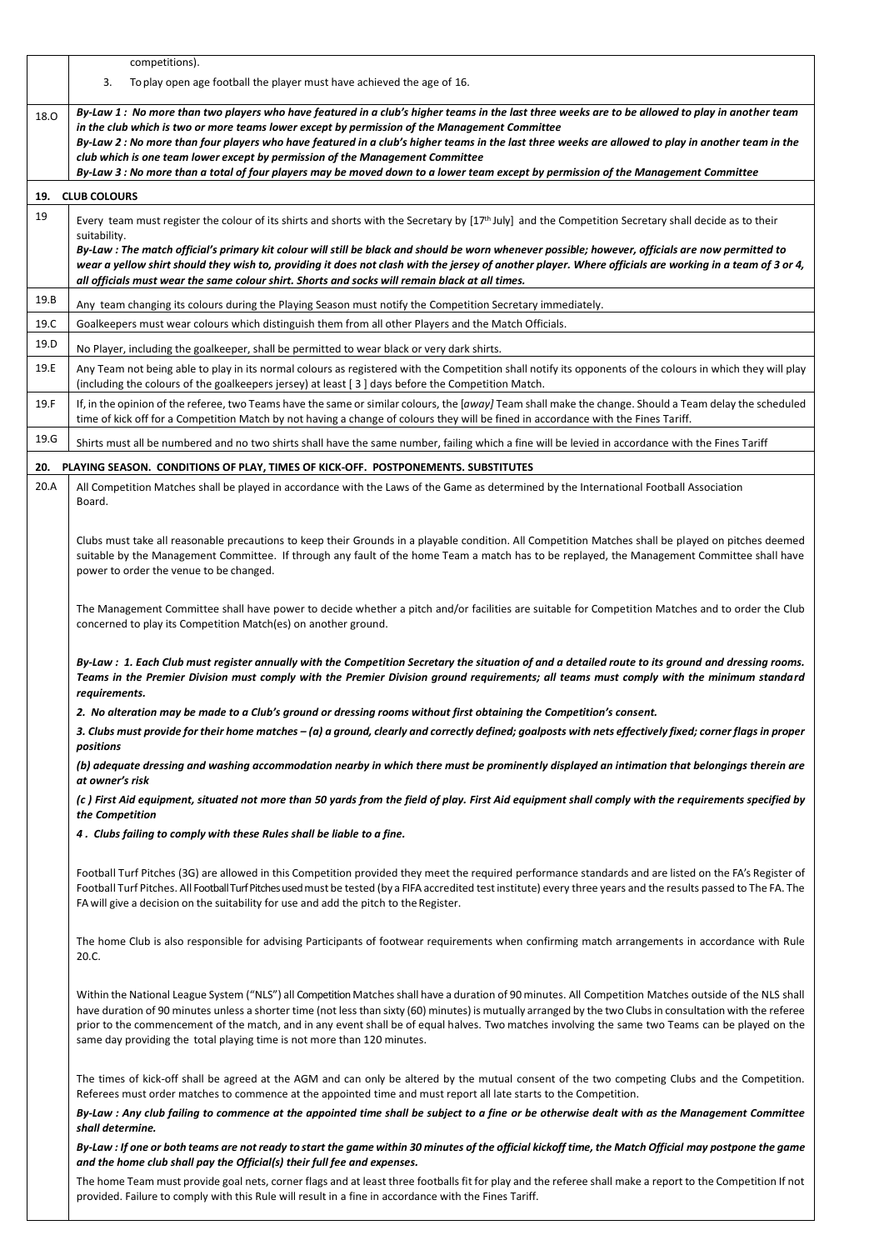|      | competitions).                                                                                                                                                                                                                                                                                                                                                                                                                                                                                                                                        |
|------|-------------------------------------------------------------------------------------------------------------------------------------------------------------------------------------------------------------------------------------------------------------------------------------------------------------------------------------------------------------------------------------------------------------------------------------------------------------------------------------------------------------------------------------------------------|
|      | 3.<br>To play open age football the player must have achieved the age of 16.                                                                                                                                                                                                                                                                                                                                                                                                                                                                          |
| 18.0 | By-Law 1: No more than two players who have featured in a club's higher teams in the last three weeks are to be allowed to play in another team                                                                                                                                                                                                                                                                                                                                                                                                       |
|      | in the club which is two or more teams lower except by permission of the Management Committee<br>By-Law 2 : No more than four players who have featured in a club's higher teams in the last three weeks are allowed to play in another team in the                                                                                                                                                                                                                                                                                                   |
|      | club which is one team lower except by permission of the Management Committee                                                                                                                                                                                                                                                                                                                                                                                                                                                                         |
|      | By-Law 3 : No more than a total of four players may be moved down to a lower team except by permission of the Management Committee                                                                                                                                                                                                                                                                                                                                                                                                                    |
| 19.  | <b>CLUB COLOURS</b>                                                                                                                                                                                                                                                                                                                                                                                                                                                                                                                                   |
| 19   | Every team must register the colour of its shirts and shorts with the Secretary by [17 <sup>th</sup> July] and the Competition Secretary shall decide as to their<br>suitability.                                                                                                                                                                                                                                                                                                                                                                     |
|      | By-Law : The match official's primary kit colour will still be black and should be worn whenever possible; however, officials are now permitted to<br>wear a yellow shirt should they wish to, providing it does not clash with the jersey of another player. Where officials are working in a team of 3 or 4,<br>all officials must wear the same colour shirt. Shorts and socks will remain black at all times.                                                                                                                                     |
| 19.B | Any team changing its colours during the Playing Season must notify the Competition Secretary immediately.                                                                                                                                                                                                                                                                                                                                                                                                                                            |
| 19.C | Goalkeepers must wear colours which distinguish them from all other Players and the Match Officials.                                                                                                                                                                                                                                                                                                                                                                                                                                                  |
| 19.D | No Player, including the goalkeeper, shall be permitted to wear black or very dark shirts.                                                                                                                                                                                                                                                                                                                                                                                                                                                            |
| 19.E | Any Team not being able to play in its normal colours as registered with the Competition shall notify its opponents of the colours in which they will play<br>(including the colours of the goalkeepers jersey) at least $\lceil 3 \rceil$ days before the Competition Match.                                                                                                                                                                                                                                                                         |
| 19.F | If, in the opinion of the referee, two Teams have the same or similar colours, the [away] Team shall make the change. Should a Team delay the scheduled<br>time of kick off for a Competition Match by not having a change of colours they will be fined in accordance with the Fines Tariff.                                                                                                                                                                                                                                                         |
| 19.G | Shirts must all be numbered and no two shirts shall have the same number, failing which a fine will be levied in accordance with the Fines Tariff                                                                                                                                                                                                                                                                                                                                                                                                     |
| 20.  | PLAYING SEASON. CONDITIONS OF PLAY, TIMES OF KICK-OFF. POSTPONEMENTS. SUBSTITUTES                                                                                                                                                                                                                                                                                                                                                                                                                                                                     |
| 20.A | All Competition Matches shall be played in accordance with the Laws of the Game as determined by the International Football Association                                                                                                                                                                                                                                                                                                                                                                                                               |
|      | Board.                                                                                                                                                                                                                                                                                                                                                                                                                                                                                                                                                |
|      |                                                                                                                                                                                                                                                                                                                                                                                                                                                                                                                                                       |
|      | Clubs must take all reasonable precautions to keep their Grounds in a playable condition. All Competition Matches shall be played on pitches deemed<br>suitable by the Management Committee. If through any fault of the home Team a match has to be replayed, the Management Committee shall have                                                                                                                                                                                                                                                    |
|      | power to order the venue to be changed.                                                                                                                                                                                                                                                                                                                                                                                                                                                                                                               |
|      | The Management Committee shall have power to decide whether a pitch and/or facilities are suitable for Competition Matches and to order the Club                                                                                                                                                                                                                                                                                                                                                                                                      |
|      | concerned to play its Competition Match(es) on another ground.                                                                                                                                                                                                                                                                                                                                                                                                                                                                                        |
|      | By-Law : 1. Each Club must register annually with the Competition Secretary the situation of and a detailed route to its ground and dressing rooms.                                                                                                                                                                                                                                                                                                                                                                                                   |
|      | Teams in the Premier Division must comply with the Premier Division ground requirements; all teams must comply with the minimum standard<br>requirements.                                                                                                                                                                                                                                                                                                                                                                                             |
|      | 2. No alteration may be made to a Club's ground or dressing rooms without first obtaining the Competition's consent.                                                                                                                                                                                                                                                                                                                                                                                                                                  |
|      | 3. Clubs must provide for their home matches – (a) a ground, clearly and correctly defined; goalposts with nets effectively fixed; corner flags in proper<br>positions                                                                                                                                                                                                                                                                                                                                                                                |
|      | (b) adequate dressing and washing accommodation nearby in which there must be prominently displayed an intimation that belongings therein are<br>at owner's risk                                                                                                                                                                                                                                                                                                                                                                                      |
|      | (c) First Aid equipment, situated not more than 50 yards from the field of play. First Aid equipment shall comply with the requirements specified by<br>the Competition                                                                                                                                                                                                                                                                                                                                                                               |
|      | 4 . Clubs failing to comply with these Rules shall be liable to a fine.                                                                                                                                                                                                                                                                                                                                                                                                                                                                               |
|      | Football Turf Pitches (3G) are allowed in this Competition provided they meet the required performance standards and are listed on the FA's Register of<br>Football Turf Pitches. All Football Turf Pitches used must be tested (by a FIFA accredited test institute) every three years and the results passed to The FA. The<br>FA will give a decision on the suitability for use and add the pitch to the Register.                                                                                                                                |
|      |                                                                                                                                                                                                                                                                                                                                                                                                                                                                                                                                                       |
|      | The home Club is also responsible for advising Participants of footwear requirements when confirming match arrangements in accordance with Rule<br>20.C.                                                                                                                                                                                                                                                                                                                                                                                              |
|      | Within the National League System ("NLS") all Competition Matches shall have a duration of 90 minutes. All Competition Matches outside of the NLS shall<br>have duration of 90 minutes unless a shorter time (not less than sixty (60) minutes) is mutually arranged by the two Clubs in consultation with the referee<br>prior to the commencement of the match, and in any event shall be of equal halves. Two matches involving the same two Teams can be played on the<br>same day providing the total playing time is not more than 120 minutes. |
|      |                                                                                                                                                                                                                                                                                                                                                                                                                                                                                                                                                       |
|      | The times of kick-off shall be agreed at the AGM and can only be altered by the mutual consent of the two competing Clubs and the Competition.<br>Referees must order matches to commence at the appointed time and must report all late starts to the Competition.                                                                                                                                                                                                                                                                                   |
|      | By-Law : Any club failing to commence at the appointed time shall be subject to a fine or be otherwise dealt with as the Management Committee<br>shall determine.                                                                                                                                                                                                                                                                                                                                                                                     |
|      | By-Law : If one or both teams are not ready to start the game within 30 minutes of the official kickoff time, the Match Official may postpone the game<br>and the home club shall pay the Official(s) their full fee and expenses.                                                                                                                                                                                                                                                                                                                    |
|      | The home Team must provide goal nets, corner flags and at least three footballs fit for play and the referee shall make a report to the Competition If not<br>provided. Failure to comply with this Rule will result in a fine in accordance with the Fines Tariff.                                                                                                                                                                                                                                                                                   |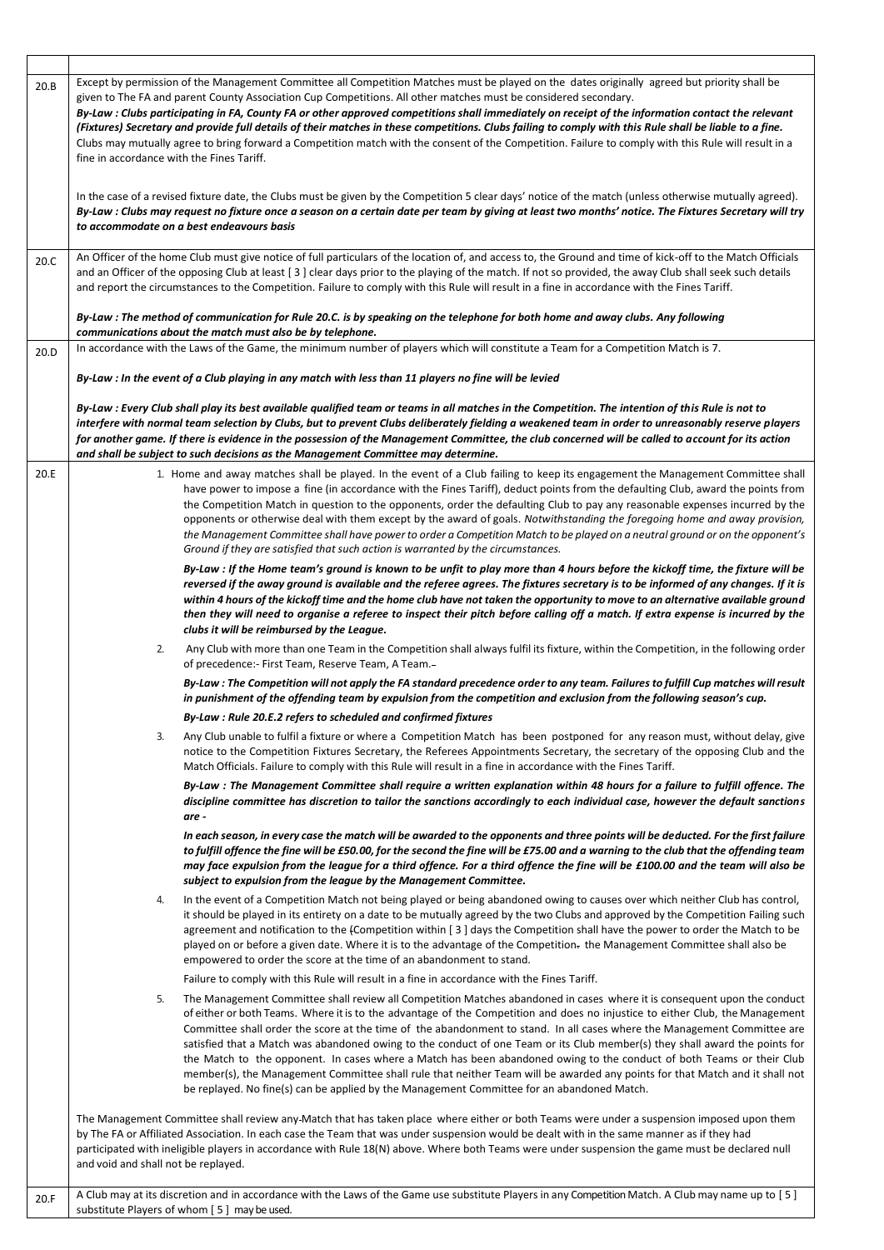| 20.B | Except by permission of the Management Committee all Competition Matches must be played on the dates originally agreed but priority shall be<br>given to The FA and parent County Association Cup Competitions. All other matches must be considered secondary.<br>By-Law : Clubs participating in FA, County FA or other approved competitions shall immediately on receipt of the information contact the relevant<br>(Fixtures) Secretary and provide full details of their matches in these competitions. Clubs failing to comply with this Rule shall be liable to a fine.<br>Clubs may mutually agree to bring forward a Competition match with the consent of the Competition. Failure to comply with this Rule will result in a<br>fine in accordance with the Fines Tariff.                                                                                             |
|------|----------------------------------------------------------------------------------------------------------------------------------------------------------------------------------------------------------------------------------------------------------------------------------------------------------------------------------------------------------------------------------------------------------------------------------------------------------------------------------------------------------------------------------------------------------------------------------------------------------------------------------------------------------------------------------------------------------------------------------------------------------------------------------------------------------------------------------------------------------------------------------|
|      | In the case of a revised fixture date, the Clubs must be given by the Competition 5 clear days' notice of the match (unless otherwise mutually agreed).<br>By-Law : Clubs may request no fixture once a season on a certain date per team by giving at least two months' notice. The Fixtures Secretary will try<br>to accommodate on a best endeavours basis                                                                                                                                                                                                                                                                                                                                                                                                                                                                                                                    |
| 20.C | An Officer of the home Club must give notice of full particulars of the location of, and access to, the Ground and time of kick-off to the Match Officials<br>and an Officer of the opposing Club at least [3] clear days prior to the playing of the match. If not so provided, the away Club shall seek such details<br>and report the circumstances to the Competition. Failure to comply with this Rule will result in a fine in accordance with the Fines Tariff.                                                                                                                                                                                                                                                                                                                                                                                                           |
|      | By-Law : The method of communication for Rule 20.C. is by speaking on the telephone for both home and away clubs. Any following<br>communications about the match must also be by telephone.                                                                                                                                                                                                                                                                                                                                                                                                                                                                                                                                                                                                                                                                                     |
| 20.D | In accordance with the Laws of the Game, the minimum number of players which will constitute a Team for a Competition Match is 7.                                                                                                                                                                                                                                                                                                                                                                                                                                                                                                                                                                                                                                                                                                                                                |
|      | By-Law : In the event of a Club playing in any match with less than 11 players no fine will be levied                                                                                                                                                                                                                                                                                                                                                                                                                                                                                                                                                                                                                                                                                                                                                                            |
|      | By-Law : Every Club shall play its best available qualified team or teams in all matches in the Competition. The intention of this Rule is not to<br>interfere with normal team selection by Clubs, but to prevent Clubs deliberately fielding a weakened team in order to unreasonably reserve players<br>for another game. If there is evidence in the possession of the Management Committee, the club concerned will be called to account for its action<br>and shall be subject to such decisions as the Management Committee may determine.                                                                                                                                                                                                                                                                                                                                |
| 20.E | 1. Home and away matches shall be played. In the event of a Club failing to keep its engagement the Management Committee shall<br>have power to impose a fine (in accordance with the Fines Tariff), deduct points from the defaulting Club, award the points from<br>the Competition Match in question to the opponents, order the defaulting Club to pay any reasonable expenses incurred by the<br>opponents or otherwise deal with them except by the award of goals. Notwithstanding the foregoing home and away provision,<br>the Management Committee shall have power to order a Competition Match to be played on a neutral ground or on the opponent's<br>Ground if they are satisfied that such action is warranted by the circumstances.                                                                                                                             |
|      | By-Law : If the Home team's ground is known to be unfit to play more than 4 hours before the kickoff time, the fixture will be<br>reversed if the away ground is available and the referee agrees. The fixtures secretary is to be informed of any changes. If it is<br>within 4 hours of the kickoff time and the home club have not taken the opportunity to move to an alternative available ground<br>then they will need to organise a referee to inspect their pitch before calling off a match. If extra expense is incurred by the<br>clubs it will be reimbursed by the League.                                                                                                                                                                                                                                                                                         |
|      | 2.<br>Any Club with more than one Team in the Competition shall always fulfil its fixture, within the Competition, in the following order<br>of precedence:- First Team, Reserve Team, A Team.                                                                                                                                                                                                                                                                                                                                                                                                                                                                                                                                                                                                                                                                                   |
|      | By-Law : The Competition will not apply the FA standard precedence order to any team. Failures to fulfill Cup matches will result<br>in punishment of the offending team by expulsion from the competition and exclusion from the following season's cup.                                                                                                                                                                                                                                                                                                                                                                                                                                                                                                                                                                                                                        |
|      | By-Law : Rule 20.E.2 refers to scheduled and confirmed fixtures                                                                                                                                                                                                                                                                                                                                                                                                                                                                                                                                                                                                                                                                                                                                                                                                                  |
|      | 3.<br>Any Club unable to fulfil a fixture or where a Competition Match has been postponed for any reason must, without delay, give<br>notice to the Competition Fixtures Secretary, the Referees Appointments Secretary, the secretary of the opposing Club and the<br>Match Officials. Failure to comply with this Rule will result in a fine in accordance with the Fines Tariff.                                                                                                                                                                                                                                                                                                                                                                                                                                                                                              |
|      | By-Law: The Management Committee shall require a written explanation within 48 hours for a failure to fulfill offence. The<br>discipline committee has discretion to tailor the sanctions accordingly to each individual case, however the default sanctions<br>are -                                                                                                                                                                                                                                                                                                                                                                                                                                                                                                                                                                                                            |
|      | In each season, in every case the match will be awarded to the opponents and three points will be deducted. For the first failure<br>to fulfill offence the fine will be £50.00, for the second the fine will be £75.00 and a warning to the club that the offending team<br>may face expulsion from the league for a third offence. For a third offence the fine will be £100.00 and the team will also be<br>subject to expulsion from the league by the Management Committee.                                                                                                                                                                                                                                                                                                                                                                                                 |
|      | In the event of a Competition Match not being played or being abandoned owing to causes over which neither Club has control,<br>4.<br>it should be played in its entirety on a date to be mutually agreed by the two Clubs and approved by the Competition Failing such<br>agreement and notification to the (Competition within [3] days the Competition shall have the power to order the Match to be<br>played on or before a given date. Where it is to the advantage of the Competition- the Management Committee shall also be<br>empowered to order the score at the time of an abandonment to stand.                                                                                                                                                                                                                                                                     |
|      | Failure to comply with this Rule will result in a fine in accordance with the Fines Tariff.                                                                                                                                                                                                                                                                                                                                                                                                                                                                                                                                                                                                                                                                                                                                                                                      |
|      | The Management Committee shall review all Competition Matches abandoned in cases where it is consequent upon the conduct<br>5.<br>of either or both Teams. Where it is to the advantage of the Competition and does no injustice to either Club, the Management<br>Committee shall order the score at the time of the abandonment to stand. In all cases where the Management Committee are<br>satisfied that a Match was abandoned owing to the conduct of one Team or its Club member(s) they shall award the points for<br>the Match to the opponent. In cases where a Match has been abandoned owing to the conduct of both Teams or their Club<br>member(s), the Management Committee shall rule that neither Team will be awarded any points for that Match and it shall not<br>be replayed. No fine(s) can be applied by the Management Committee for an abandoned Match. |
|      | The Management Committee shall review any-Match that has taken place where either or both Teams were under a suspension imposed upon them<br>by The FA or Affiliated Association. In each case the Team that was under suspension would be dealt with in the same manner as if they had<br>participated with ineligible players in accordance with Rule 18(N) above. Where both Teams were under suspension the game must be declared null<br>and void and shall not be replayed.                                                                                                                                                                                                                                                                                                                                                                                                |
| 20.F | A Club may at its discretion and in accordance with the Laws of the Game use substitute Players in any Competition Match. A Club may name up to [5]<br>substitute Players of whom [5] may be used.                                                                                                                                                                                                                                                                                                                                                                                                                                                                                                                                                                                                                                                                               |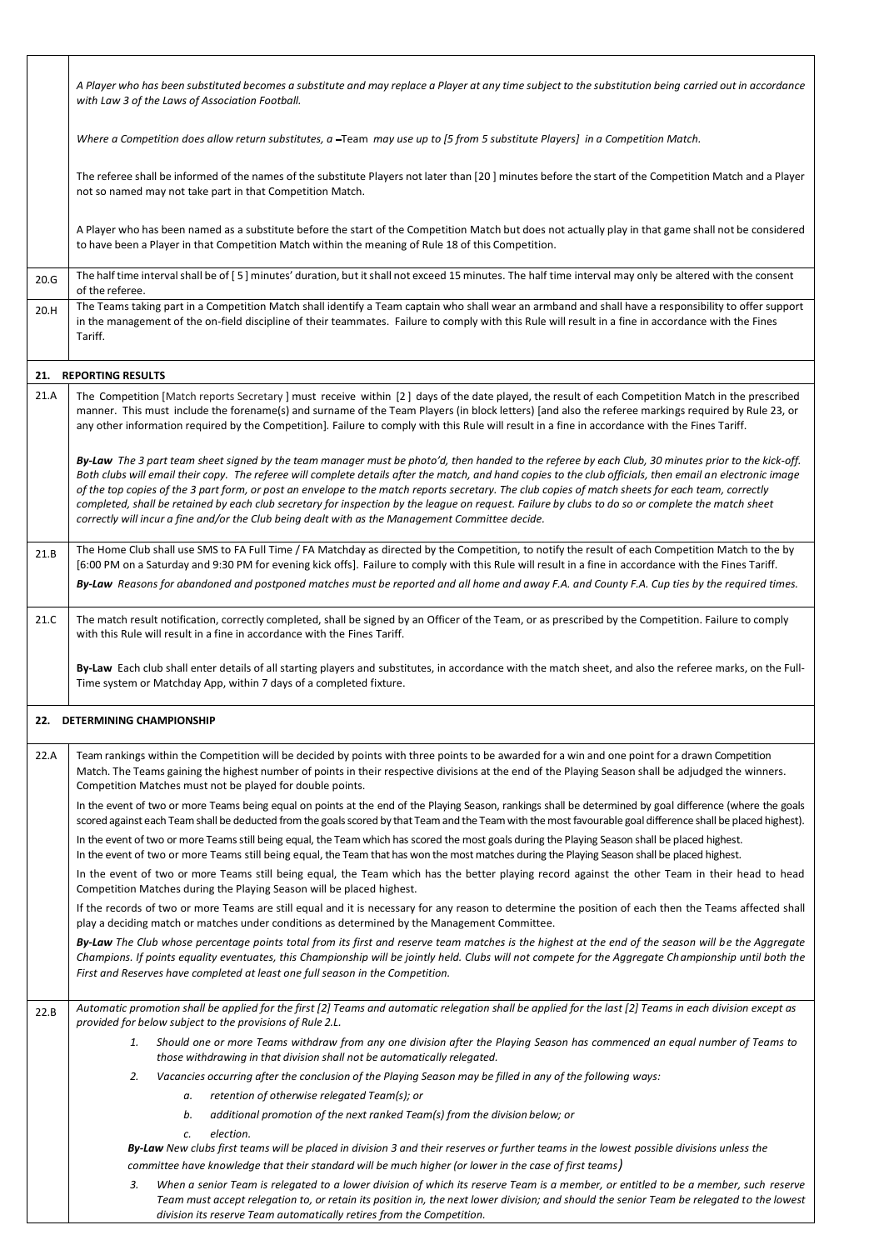|      | A Player who has been substituted becomes a substitute and may replace a Player at any time subject to the substitution being carried out in accordance<br>with Law 3 of the Laws of Association Football.                                                                                                                                                                                                                                                                                                                                                                                                                                                                                                                        |
|------|-----------------------------------------------------------------------------------------------------------------------------------------------------------------------------------------------------------------------------------------------------------------------------------------------------------------------------------------------------------------------------------------------------------------------------------------------------------------------------------------------------------------------------------------------------------------------------------------------------------------------------------------------------------------------------------------------------------------------------------|
|      | Where a Competition does allow return substitutes, a -Team may use up to [5 from 5 substitute Players] in a Competition Match.                                                                                                                                                                                                                                                                                                                                                                                                                                                                                                                                                                                                    |
|      | The referee shall be informed of the names of the substitute Players not later than [20] minutes before the start of the Competition Match and a Player<br>not so named may not take part in that Competition Match.                                                                                                                                                                                                                                                                                                                                                                                                                                                                                                              |
|      | A Player who has been named as a substitute before the start of the Competition Match but does not actually play in that game shall not be considered<br>to have been a Player in that Competition Match within the meaning of Rule 18 of this Competition.                                                                                                                                                                                                                                                                                                                                                                                                                                                                       |
| 20.G | The half time interval shall be of [5] minutes' duration, but it shall not exceed 15 minutes. The half time interval may only be altered with the consent<br>of the referee.                                                                                                                                                                                                                                                                                                                                                                                                                                                                                                                                                      |
| 20.H | The Teams taking part in a Competition Match shall identify a Team captain who shall wear an armband and shall have a responsibility to offer support<br>in the management of the on-field discipline of their teammates. Failure to comply with this Rule will result in a fine in accordance with the Fines<br>Tariff.                                                                                                                                                                                                                                                                                                                                                                                                          |
|      | 21. REPORTING RESULTS                                                                                                                                                                                                                                                                                                                                                                                                                                                                                                                                                                                                                                                                                                             |
| 21.A | The Competition [Match reports Secretary] must receive within [2] days of the date played, the result of each Competition Match in the prescribed<br>manner. This must include the forename(s) and surname of the Team Players (in block letters) [and also the referee markings required by Rule 23, or<br>any other information required by the Competition]. Failure to comply with this Rule will result in a fine in accordance with the Fines Tariff.                                                                                                                                                                                                                                                                       |
|      | By-Law The 3 part team sheet signed by the team manager must be photo'd, then handed to the referee by each Club, 30 minutes prior to the kick-off.<br>Both clubs will email their copy. The referee will complete details after the match, and hand copies to the club officials, then email an electronic image<br>of the top copies of the 3 part form, or post an envelope to the match reports secretary. The club copies of match sheets for each team, correctly<br>completed, shall be retained by each club secretary for inspection by the league on request. Failure by clubs to do so or complete the match sheet<br>correctly will incur a fine and/or the Club being dealt with as the Management Committee decide. |
| 21.B | The Home Club shall use SMS to FA Full Time / FA Matchday as directed by the Competition, to notify the result of each Competition Match to the by<br>[6:00 PM on a Saturday and 9:30 PM for evening kick offs]. Failure to comply with this Rule will result in a fine in accordance with the Fines Tariff.                                                                                                                                                                                                                                                                                                                                                                                                                      |
|      | By-Law Reasons for abandoned and postponed matches must be reported and all home and away F.A. and County F.A. Cup ties by the required times.                                                                                                                                                                                                                                                                                                                                                                                                                                                                                                                                                                                    |
| 21.C | The match result notification, correctly completed, shall be signed by an Officer of the Team, or as prescribed by the Competition. Failure to comply<br>with this Rule will result in a fine in accordance with the Fines Tariff.                                                                                                                                                                                                                                                                                                                                                                                                                                                                                                |
|      | By-Law Each club shall enter details of all starting players and substitutes, in accordance with the match sheet, and also the referee marks, on the Full-<br>Time system or Matchday App, within 7 days of a completed fixture.                                                                                                                                                                                                                                                                                                                                                                                                                                                                                                  |
|      | 22. DETERMINING CHAMPIONSHIP                                                                                                                                                                                                                                                                                                                                                                                                                                                                                                                                                                                                                                                                                                      |
| 22.A | Team rankings within the Competition will be decided by points with three points to be awarded for a win and one point for a drawn Competition<br>Match. The Teams gaining the highest number of points in their respective divisions at the end of the Playing Season shall be adjudged the winners.<br>Competition Matches must not be played for double points.                                                                                                                                                                                                                                                                                                                                                                |
|      | In the event of two or more Teams being equal on points at the end of the Playing Season, rankings shall be determined by goal difference (where the goals<br>scored against each Team shall be deducted from the goals scored by that Team and the Team with the most favourable goal difference shall be placed highest).                                                                                                                                                                                                                                                                                                                                                                                                       |
|      | In the event of two or more Teams still being equal, the Team which has scored the most goals during the Playing Season shall be placed highest.<br>In the event of two or more Teams still being equal, the Team that has won the most matches during the Playing Season shall be placed highest.                                                                                                                                                                                                                                                                                                                                                                                                                                |
|      | In the event of two or more Teams still being equal, the Team which has the better playing record against the other Team in their head to head<br>Competition Matches during the Playing Season will be placed highest.                                                                                                                                                                                                                                                                                                                                                                                                                                                                                                           |
|      | If the records of two or more Teams are still equal and it is necessary for any reason to determine the position of each then the Teams affected shall<br>play a deciding match or matches under conditions as determined by the Management Committee.                                                                                                                                                                                                                                                                                                                                                                                                                                                                            |
|      | By-Law The Club whose percentage points total from its first and reserve team matches is the highest at the end of the season will be the Aggregate<br>Champions. If points equality eventuates, this Championship will be jointly held. Clubs will not compete for the Aggregate Championship until both the<br>First and Reserves have completed at least one full season in the Competition.                                                                                                                                                                                                                                                                                                                                   |
| 22.B | Automatic promotion shall be applied for the first [2] Teams and automatic relegation shall be applied for the last [2] Teams in each division except as<br>provided for below subject to the provisions of Rule 2.L.                                                                                                                                                                                                                                                                                                                                                                                                                                                                                                             |
|      | Should one or more Teams withdraw from any one division after the Playing Season has commenced an equal number of Teams to<br>1.<br>those withdrawing in that division shall not be automatically relegated.                                                                                                                                                                                                                                                                                                                                                                                                                                                                                                                      |
|      | 2.<br>Vacancies occurring after the conclusion of the Playing Season may be filled in any of the following ways:                                                                                                                                                                                                                                                                                                                                                                                                                                                                                                                                                                                                                  |
|      | retention of otherwise relegated Team(s); or<br>а.                                                                                                                                                                                                                                                                                                                                                                                                                                                                                                                                                                                                                                                                                |
|      | additional promotion of the next ranked Team(s) from the division below; or<br>b.<br>election.<br>c.                                                                                                                                                                                                                                                                                                                                                                                                                                                                                                                                                                                                                              |
|      | By-Law New clubs first teams will be placed in division 3 and their reserves or further teams in the lowest possible divisions unless the                                                                                                                                                                                                                                                                                                                                                                                                                                                                                                                                                                                         |
|      | committee have knowledge that their standard will be much higher (or lower in the case of first teams)                                                                                                                                                                                                                                                                                                                                                                                                                                                                                                                                                                                                                            |
|      | When a senior Team is relegated to a lower division of which its reserve Team is a member, or entitled to be a member, such reserve<br>3.<br>Team must accept relegation to, or retain its position in, the next lower division; and should the senior Team be relegated to the lowest<br>division its reserve Team automatically retires from the Competition                                                                                                                                                                                                                                                                                                                                                                    |

 $\Gamma$ 

*division its reserve Team automatically retires from the Competition.*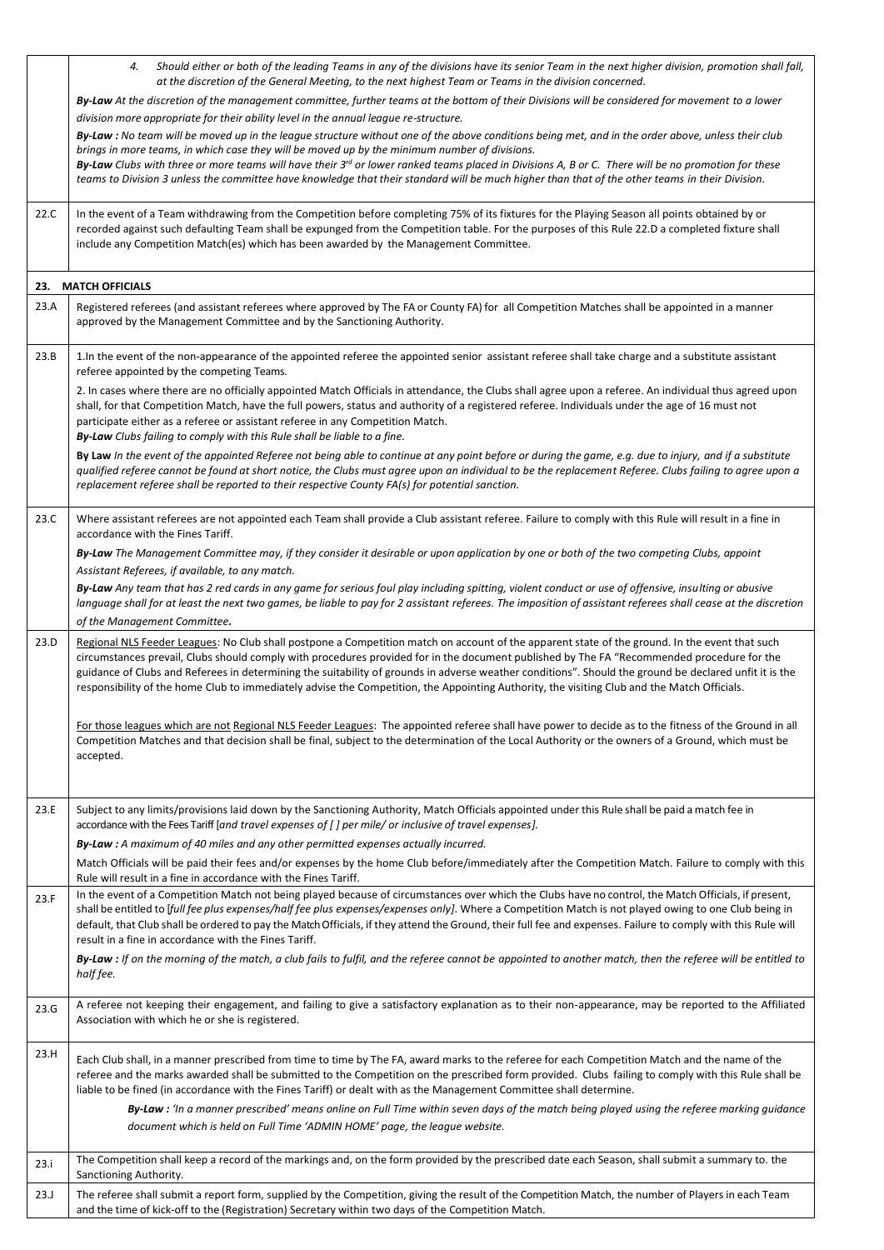|      | Should either or both of the leading Teams in any of the divisions have its senior Team in the next higher division, promotion shall fall,<br>4.<br>at the discretion of the General Meeting, to the next highest Team or Teams in the division concerned.                                                                                                                                                                                                                                                                                                                                            |
|------|-------------------------------------------------------------------------------------------------------------------------------------------------------------------------------------------------------------------------------------------------------------------------------------------------------------------------------------------------------------------------------------------------------------------------------------------------------------------------------------------------------------------------------------------------------------------------------------------------------|
|      | By-Law At the discretion of the management committee, further teams at the bottom of their Divisions will be considered for movement to a lower                                                                                                                                                                                                                                                                                                                                                                                                                                                       |
|      | division more appropriate for their ability level in the annual league re-structure.                                                                                                                                                                                                                                                                                                                                                                                                                                                                                                                  |
|      | By-Law : No team will be moved up in the league structure without one of the above conditions being met, and in the order above, unless their club<br>brings in more teams, in which case they will be moved up by the minimum number of divisions.<br>By-Law Clubs with three or more teams will have their $3^{rd}$ or lower ranked teams placed in Divisions A, B or C. There will be no promotion for these<br>teams to Division 3 unless the committee have knowledge that their standard will be much higher than that of the other teams in their Division.                                    |
| 22.C | In the event of a Team withdrawing from the Competition before completing 75% of its fixtures for the Playing Season all points obtained by or<br>recorded against such defaulting Team shall be expunged from the Competition table. For the purposes of this Rule 22.D a completed fixture shall<br>include any Competition Match(es) which has been awarded by the Management Committee.                                                                                                                                                                                                           |
|      | 23. MATCH OFFICIALS                                                                                                                                                                                                                                                                                                                                                                                                                                                                                                                                                                                   |
| 23.A | Registered referees (and assistant referees where approved by The FA or County FA) for all Competition Matches shall be appointed in a manner<br>approved by the Management Committee and by the Sanctioning Authority.                                                                                                                                                                                                                                                                                                                                                                               |
| 23.B | 1. In the event of the non-appearance of the appointed referee the appointed senior assistant referee shall take charge and a substitute assistant<br>referee appointed by the competing Teams.                                                                                                                                                                                                                                                                                                                                                                                                       |
|      | 2. In cases where there are no officially appointed Match Officials in attendance, the Clubs shall agree upon a referee. An individual thus agreed upon<br>shall, for that Competition Match, have the full powers, status and authority of a registered referee. Individuals under the age of 16 must not<br>participate either as a referee or assistant referee in any Competition Match.<br>By-Law Clubs failing to comply with this Rule shall be liable to a fine.                                                                                                                              |
|      | By Law In the event of the appointed Referee not being able to continue at any point before or during the game, e.g. due to injury, and if a substitute<br>qualified referee cannot be found at short notice, the Clubs must agree upon an individual to be the replacement Referee. Clubs failing to agree upon a<br>replacement referee shall be reported to their respective County FA(s) for potential sanction.                                                                                                                                                                                  |
| 23.C | Where assistant referees are not appointed each Team shall provide a Club assistant referee. Failure to comply with this Rule will result in a fine in<br>accordance with the Fines Tariff.                                                                                                                                                                                                                                                                                                                                                                                                           |
|      | By-Law The Management Committee may, if they consider it desirable or upon application by one or both of the two competing Clubs, appoint<br>Assistant Referees, if available, to any match.                                                                                                                                                                                                                                                                                                                                                                                                          |
|      | By-Law Any team that has 2 red cards in any game for serious foul play including spitting, violent conduct or use of offensive, insulting or abusive<br>language shall for at least the next two games, be liable to pay for 2 assistant referees. The imposition of assistant referees shall cease at the discretion                                                                                                                                                                                                                                                                                 |
|      | of the Management Committee.                                                                                                                                                                                                                                                                                                                                                                                                                                                                                                                                                                          |
| 23.D | Regional NLS Feeder Leagues: No Club shall postpone a Competition match on account of the apparent state of the ground. In the event that such<br>circumstances prevail, Clubs should comply with procedures provided for in the document published by The FA "Recommended procedure for the<br>guidance of Clubs and Referees in determining the suitability of grounds in adverse weather conditions". Should the ground be declared unfit it is the<br>responsibility of the home Club to immediately advise the Competition, the Appointing Authority, the visiting Club and the Match Officials. |
|      | For those leagues which are not Regional NLS Feeder Leagues: The appointed referee shall have power to decide as to the fitness of the Ground in all<br>Competition Matches and that decision shall be final, subject to the determination of the Local Authority or the owners of a Ground, which must be<br>accepted.                                                                                                                                                                                                                                                                               |
| 23.E | Subject to any limits/provisions laid down by the Sanctioning Authority, Match Officials appointed under this Rule shall be paid a match fee in<br>accordance with the Fees Tariff [and travel expenses of [] per mile/ or inclusive of travel expenses].                                                                                                                                                                                                                                                                                                                                             |
|      | By-Law : A maximum of 40 miles and any other permitted expenses actually incurred.                                                                                                                                                                                                                                                                                                                                                                                                                                                                                                                    |
|      | Match Officials will be paid their fees and/or expenses by the home Club before/immediately after the Competition Match. Failure to comply with this<br>Rule will result in a fine in accordance with the Fines Tariff.                                                                                                                                                                                                                                                                                                                                                                               |
| 23.F | In the event of a Competition Match not being played because of circumstances over which the Clubs have no control, the Match Officials, if present,<br>shall be entitled to [full fee plus expenses/half fee plus expenses/expenses only]. Where a Competition Match is not played owing to one Club being in<br>default, that Club shall be ordered to pay the Match Officials, if they attend the Ground, their full fee and expenses. Failure to comply with this Rule will<br>result in a fine in accordance with the Fines Tariff.                                                              |
|      | By-Law : If on the morning of the match, a club fails to fulfil, and the referee cannot be appointed to another match, then the referee will be entitled to<br>half fee.                                                                                                                                                                                                                                                                                                                                                                                                                              |
| 23.G | A referee not keeping their engagement, and failing to give a satisfactory explanation as to their non-appearance, may be reported to the Affiliated<br>Association with which he or she is registered.                                                                                                                                                                                                                                                                                                                                                                                               |
| 23.H | Each Club shall, in a manner prescribed from time to time by The FA, award marks to the referee for each Competition Match and the name of the<br>referee and the marks awarded shall be submitted to the Competition on the prescribed form provided. Clubs failing to comply with this Rule shall be<br>liable to be fined (in accordance with the Fines Tariff) or dealt with as the Management Committee shall determine.                                                                                                                                                                         |
|      | By-Law: 'In a manner prescribed' means online on Full Time within seven days of the match being played using the referee marking guidance<br>document which is held on Full Time 'ADMIN HOME' page, the league website.                                                                                                                                                                                                                                                                                                                                                                               |
| 23.i | The Competition shall keep a record of the markings and, on the form provided by the prescribed date each Season, shall submit a summary to. the<br>Sanctioning Authority.                                                                                                                                                                                                                                                                                                                                                                                                                            |
| 23.J | The referee shall submit a report form, supplied by the Competition, giving the result of the Competition Match, the number of Players in each Team<br>and the time of kick-off to the (Registration) Secretary within two days of the Competition Match.                                                                                                                                                                                                                                                                                                                                             |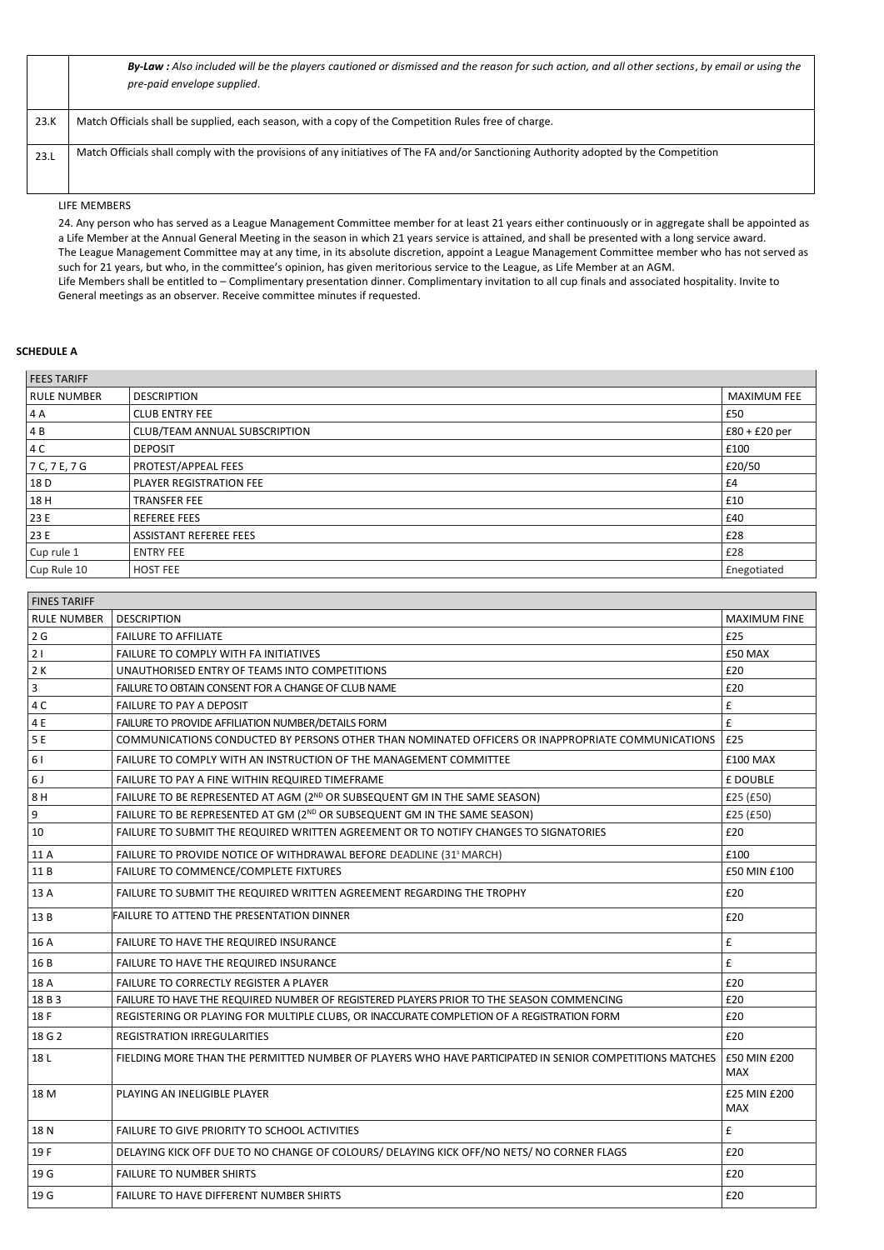|      | By-Law: Also included will be the players cautioned or dismissed and the reason for such action, and all other sections, by email or using the<br>pre-paid envelope supplied. |
|------|-------------------------------------------------------------------------------------------------------------------------------------------------------------------------------|
| 23.K | Match Officials shall be supplied, each season, with a copy of the Competition Rules free of charge.                                                                          |
| 23.L | Match Officials shall comply with the provisions of any initiatives of The FA and/or Sanctioning Authority adopted by the Competition                                         |

LIFE MEMBERS

24. Any person who has served as a League Management Committee member for at least 21 years either continuously or in aggregate shall be appointed as a Life Member at the Annual General Meeting in the season in which 21 years service is attained, and shall be presented with a long service award. The League Management Committee may at any time, in its absolute discretion, appoint a League Management Committee member who has not served as such for 21 years, but who, in the committee's opinion, has given meritorious service to the League, as Life Member at an AGM. Life Members shall be entitled to – Complimentary presentation dinner. Complimentary invitation to all cup finals and associated hospitality. Invite to General meetings as an observer. Receive committee minutes if requested.

### **SCHEDULE A**

| <b>FEES TARIFF</b> |                                |                     |
|--------------------|--------------------------------|---------------------|
| <b>RULE NUMBER</b> | <b>DESCRIPTION</b>             | <b>MAXIMUM FEE</b>  |
| 4 A                | <b>CLUB ENTRY FEE</b>          | £50                 |
| 4 B                | CLUB/TEAM ANNUAL SUBSCRIPTION  | $£80 + £20$ per     |
| 4 C                | <b>DEPOSIT</b>                 | £100                |
| 7 C, 7 E, 7 G      | PROTEST/APPEAL FEES            | £20/50              |
| 18 D               | <b>PLAYER REGISTRATION FEE</b> | £4                  |
| 18 H               | TRANSFER FEE                   | £10                 |
| 23 E               | <b>REFEREE FEES</b>            | £40                 |
| 23 E               | <b>ASSISTANT REFEREE FEES</b>  | £28                 |
| Cup rule 1         | <b>ENTRY FEE</b>               | £28                 |
| Cup Rule 10        | <b>HOST FEE</b>                | <b>f</b> negotiated |

| <b>FINES TARIFF</b>     |                                                                                                         |                            |
|-------------------------|---------------------------------------------------------------------------------------------------------|----------------------------|
| <b>RULE NUMBER</b>      | <b>DESCRIPTION</b>                                                                                      | <b>MAXIMUM FINE</b>        |
| 2G                      | <b>FAILURE TO AFFILIATE</b>                                                                             | £25                        |
| 21                      | FAILURE TO COMPLY WITH FA INITIATIVES                                                                   | £50 MAX                    |
| 2K                      | UNAUTHORISED ENTRY OF TEAMS INTO COMPETITIONS                                                           | £20                        |
| $\overline{\mathbf{3}}$ | FAILURE TO OBTAIN CONSENT FOR A CHANGE OF CLUB NAME                                                     | £20                        |
| 4 C                     | FAILURE TO PAY A DEPOSIT                                                                                | £                          |
| 4 E                     | FAILURE TO PROVIDE AFFILIATION NUMBER/DETAILS FORM                                                      | £                          |
| 5 E                     | COMMUNICATIONS CONDUCTED BY PERSONS OTHER THAN NOMINATED OFFICERS OR INAPPROPRIATE COMMUNICATIONS       | £25                        |
| 61                      | FAILURE TO COMPLY WITH AN INSTRUCTION OF THE MANAGEMENT COMMITTEE                                       | £100 MAX                   |
| 6J                      | FAILURE TO PAY A FINE WITHIN REQUIRED TIMEFRAME                                                         | £ DOUBLE                   |
| 8 H                     | FAILURE TO BE REPRESENTED AT AGM (2ND OR SUBSEQUENT GM IN THE SAME SEASON)                              | £25(E50)                   |
| 9                       | FAILURE TO BE REPRESENTED AT GM (2ND OR SUBSEQUENT GM IN THE SAME SEASON)                               | £25 (£50)                  |
| 10                      | FAILURE TO SUBMIT THE REQUIRED WRITTEN AGREEMENT OR TO NOTIFY CHANGES TO SIGNATORIES                    | £20                        |
| 11 A                    | FAILURE TO PROVIDE NOTICE OF WITHDRAWAL BEFORE DEADLINE (31 <sup>5</sup> MARCH)                         | £100                       |
| 11B                     | FAILURE TO COMMENCE/COMPLETE FIXTURES                                                                   | £50 MIN £100               |
| 13 A                    | FAILURE TO SUBMIT THE REQUIRED WRITTEN AGREEMENT REGARDING THE TROPHY                                   | £20                        |
| 13B                     | FAILURE TO ATTEND THE PRESENTATION DINNER                                                               | £20                        |
| 16 A                    | FAILURE TO HAVE THE REQUIRED INSURANCE                                                                  | £                          |
| 16 B                    | <b>FAILURE TO HAVE THE REQUIRED INSURANCE</b>                                                           | £                          |
| 18 A                    | <b>FAILURE TO CORRECTLY REGISTER A PLAYER</b>                                                           | £20                        |
| 18 B 3                  | FAILURE TO HAVE THE REQUIRED NUMBER OF REGISTERED PLAYERS PRIOR TO THE SEASON COMMENCING                | £20                        |
| 18 F                    | REGISTERING OR PLAYING FOR MULTIPLE CLUBS, OR INACCURATE COMPLETION OF A REGISTRATION FORM              | £20                        |
| 18 G 2                  | <b>REGISTRATION IRREGULARITIES</b>                                                                      | £20                        |
| 18L                     | FIELDING MORE THAN THE PERMITTED NUMBER OF PLAYERS WHO HAVE PARTICIPATED IN SENIOR COMPETITIONS MATCHES | £50 MIN £200<br><b>MAX</b> |
| 18 M                    | PLAYING AN INELIGIBLE PLAYER                                                                            | £25 MIN £200<br><b>MAX</b> |
| 18N                     | FAILURE TO GIVE PRIORITY TO SCHOOL ACTIVITIES                                                           | £                          |
| 19F                     | DELAYING KICK OFF DUE TO NO CHANGE OF COLOURS/ DELAYING KICK OFF/NO NETS/ NO CORNER FLAGS               | £20                        |
| 19 G                    | <b>FAILURE TO NUMBER SHIRTS</b>                                                                         | £20                        |
| 19 G                    | <b>FAILURE TO HAVE DIFFERENT NUMBER SHIRTS</b>                                                          | £20                        |